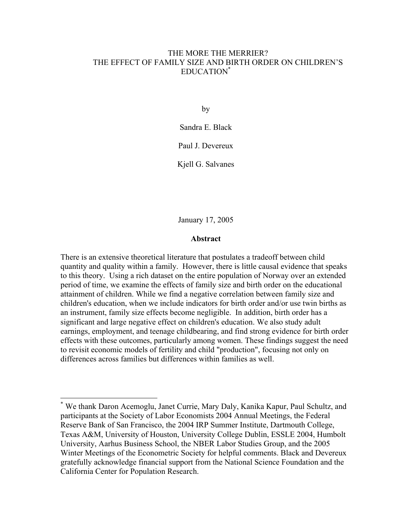# THE MORE THE MERRIER? THE EFFECT OF FAMILY SIZE AND BIRTH ORDER ON CHILDREN'S EDUCATION\*

by

Sandra E. Black Paul J. Devereux

Kjell G. Salvanes

January 17, 2005

# **Abstract**

There is an extensive theoretical literature that postulates a tradeoff between child quantity and quality within a family. However, there is little causal evidence that speaks to this theory. Using a rich dataset on the entire population of Norway over an extended period of time, we examine the effects of family size and birth order on the educational attainment of children. While we find a negative correlation between family size and children's education, when we include indicators for birth order and/or use twin births as an instrument, family size effects become negligible. In addition, birth order has a significant and large negative effect on children's education. We also study adult earnings, employment, and teenage childbearing, and find strong evidence for birth order effects with these outcomes, particularly among women. These findings suggest the need to revisit economic models of fertility and child "production", focusing not only on differences across families but differences within families as well.

<sup>\*</sup> We thank Daron Acemoglu, Janet Currie, Mary Daly, Kanika Kapur, Paul Schultz, and participants at the Society of Labor Economists 2004 Annual Meetings, the Federal Reserve Bank of San Francisco, the 2004 IRP Summer Institute, Dartmouth College, Texas A&M, University of Houston, University College Dublin, ESSLE 2004, Humbolt University, Aarhus Business School, the NBER Labor Studies Group, and the 2005 Winter Meetings of the Econometric Society for helpful comments. Black and Devereux gratefully acknowledge financial support from the National Science Foundation and the California Center for Population Research.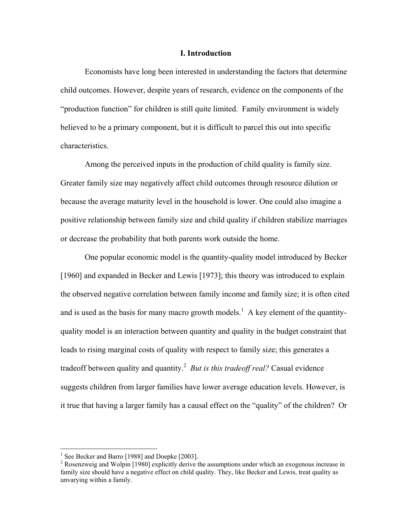### **I. Introduction**

Economists have long been interested in understanding the factors that determine child outcomes. However, despite years of research, evidence on the components of the "production function" for children is still quite limited. Family environment is widely believed to be a primary component, but it is difficult to parcel this out into specific characteristics.

Among the perceived inputs in the production of child quality is family size. Greater family size may negatively affect child outcomes through resource dilution or because the average maturity level in the household is lower. One could also imagine a positive relationship between family size and child quality if children stabilize marriages or decrease the probability that both parents work outside the home.

One popular economic model is the quantity-quality model introduced by Becker [1960] and expanded in Becker and Lewis [1973]; this theory was introduced to explain the observed negative correlation between family income and family size; it is often cited and is used as the basis for many macro growth models.<sup>1</sup> A key element of the quantityquality model is an interaction between quantity and quality in the budget constraint that leads to rising marginal costs of quality with respect to family size; this generates a tradeoff between quality and quantity.<sup>2</sup> But is this tradeoff real? Casual evidence suggests children from larger families have lower average education levels. However, is it true that having a larger family has a causal effect on the "quality" of the children? Or

 1 See Becker and Barro [1988] and Doepke [2003].

<sup>&</sup>lt;sup>2</sup> Rosenzweig and Wolpin [1980] explicitly derive the assumptions under which an exogenous increase in family size should have a negative effect on child quality. They, like Becker and Lewis, treat quality as unvarying within a family.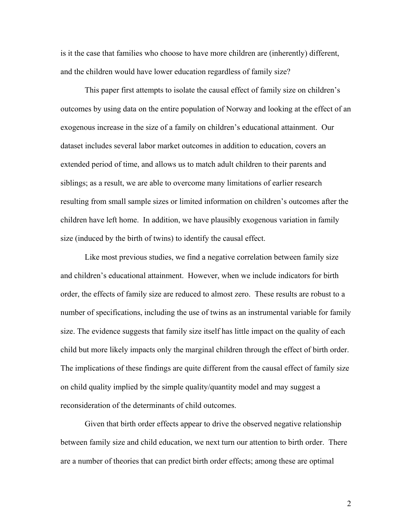is it the case that families who choose to have more children are (inherently) different, and the children would have lower education regardless of family size?

This paper first attempts to isolate the causal effect of family size on children's outcomes by using data on the entire population of Norway and looking at the effect of an exogenous increase in the size of a family on children's educational attainment. Our dataset includes several labor market outcomes in addition to education, covers an extended period of time, and allows us to match adult children to their parents and siblings; as a result, we are able to overcome many limitations of earlier research resulting from small sample sizes or limited information on children's outcomes after the children have left home. In addition, we have plausibly exogenous variation in family size (induced by the birth of twins) to identify the causal effect.

Like most previous studies, we find a negative correlation between family size and children's educational attainment. However, when we include indicators for birth order, the effects of family size are reduced to almost zero. These results are robust to a number of specifications, including the use of twins as an instrumental variable for family size. The evidence suggests that family size itself has little impact on the quality of each child but more likely impacts only the marginal children through the effect of birth order. The implications of these findings are quite different from the causal effect of family size on child quality implied by the simple quality/quantity model and may suggest a reconsideration of the determinants of child outcomes.

Given that birth order effects appear to drive the observed negative relationship between family size and child education, we next turn our attention to birth order. There are a number of theories that can predict birth order effects; among these are optimal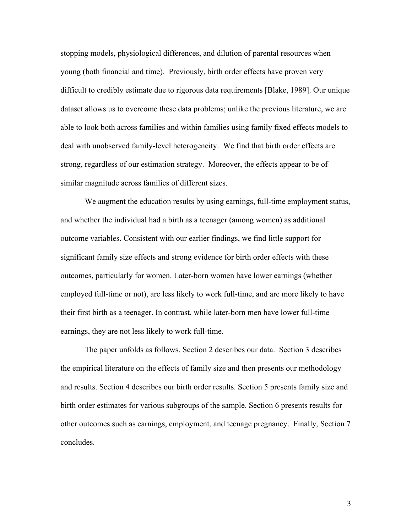stopping models, physiological differences, and dilution of parental resources when young (both financial and time). Previously, birth order effects have proven very difficult to credibly estimate due to rigorous data requirements [Blake, 1989]. Our unique dataset allows us to overcome these data problems; unlike the previous literature, we are able to look both across families and within families using family fixed effects models to deal with unobserved family-level heterogeneity. We find that birth order effects are strong, regardless of our estimation strategy. Moreover, the effects appear to be of similar magnitude across families of different sizes.

We augment the education results by using earnings, full-time employment status, and whether the individual had a birth as a teenager (among women) as additional outcome variables. Consistent with our earlier findings, we find little support for significant family size effects and strong evidence for birth order effects with these outcomes, particularly for women. Later-born women have lower earnings (whether employed full-time or not), are less likely to work full-time, and are more likely to have their first birth as a teenager. In contrast, while later-born men have lower full-time earnings, they are not less likely to work full-time.

The paper unfolds as follows. Section 2 describes our data. Section 3 describes the empirical literature on the effects of family size and then presents our methodology and results. Section 4 describes our birth order results. Section 5 presents family size and birth order estimates for various subgroups of the sample. Section 6 presents results for other outcomes such as earnings, employment, and teenage pregnancy. Finally, Section 7 concludes.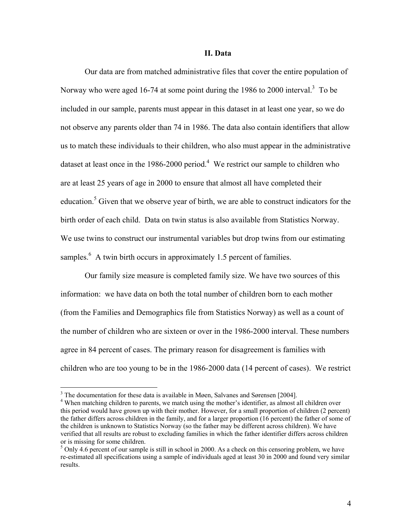#### **II. Data**

Our data are from matched administrative files that cover the entire population of Norway who were aged 16-74 at some point during the 1986 to 2000 interval.<sup>3</sup> To be included in our sample, parents must appear in this dataset in at least one year, so we do not observe any parents older than 74 in 1986. The data also contain identifiers that allow us to match these individuals to their children, who also must appear in the administrative dataset at least once in the 1986-2000 period.<sup>4</sup> We restrict our sample to children who are at least 25 years of age in 2000 to ensure that almost all have completed their education.<sup>5</sup> Given that we observe year of birth, we are able to construct indicators for the birth order of each child. Data on twin status is also available from Statistics Norway. We use twins to construct our instrumental variables but drop twins from our estimating samples. $<sup>6</sup>$  A twin birth occurs in approximately 1.5 percent of families.</sup>

Our family size measure is completed family size. We have two sources of this information: we have data on both the total number of children born to each mother (from the Families and Demographics file from Statistics Norway) as well as a count of the number of children who are sixteen or over in the 1986-2000 interval. These numbers agree in 84 percent of cases. The primary reason for disagreement is families with children who are too young to be in the 1986-2000 data (14 percent of cases). We restrict

 $3$  The documentation for these data is available in Møen, Salvanes and Sørensen [2004].

<sup>&</sup>lt;sup>4</sup> When matching children to parents, we match using the mother's identifier, as almost all children over this period would have grown up with their mother. However, for a small proportion of children (2 percent) the father differs across children in the family, and for a larger proportion (16 percent) the father of some of the children is unknown to Statistics Norway (so the father may be different across children). We have verified that all results are robust to excluding families in which the father identifier differs across children or is missing for some children.

 $5$  Only 4.6 percent of our sample is still in school in 2000. As a check on this censoring problem, we have re-estimated all specifications using a sample of individuals aged at least 30 in 2000 and found very similar results.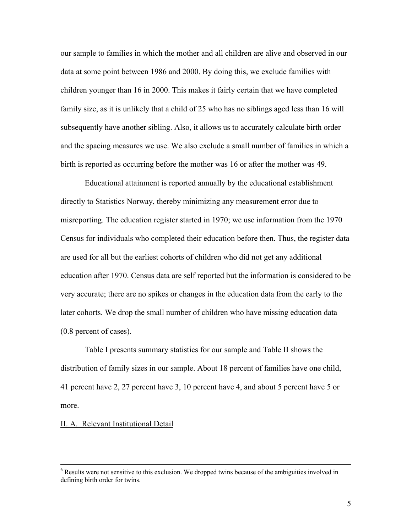our sample to families in which the mother and all children are alive and observed in our data at some point between 1986 and 2000. By doing this, we exclude families with children younger than 16 in 2000. This makes it fairly certain that we have completed family size, as it is unlikely that a child of 25 who has no siblings aged less than 16 will subsequently have another sibling. Also, it allows us to accurately calculate birth order and the spacing measures we use. We also exclude a small number of families in which a birth is reported as occurring before the mother was 16 or after the mother was 49.

Educational attainment is reported annually by the educational establishment directly to Statistics Norway, thereby minimizing any measurement error due to misreporting. The education register started in 1970; we use information from the 1970 Census for individuals who completed their education before then. Thus, the register data are used for all but the earliest cohorts of children who did not get any additional education after 1970. Census data are self reported but the information is considered to be very accurate; there are no spikes or changes in the education data from the early to the later cohorts. We drop the small number of children who have missing education data (0.8 percent of cases).

Table I presents summary statistics for our sample and Table II shows the distribution of family sizes in our sample. About 18 percent of families have one child, 41 percent have 2, 27 percent have 3, 10 percent have 4, and about 5 percent have 5 or more.

# II. A. Relevant Institutional Detail

 $\frac{1}{6}$  $6$  Results were not sensitive to this exclusion. We dropped twins because of the ambiguities involved in defining birth order for twins.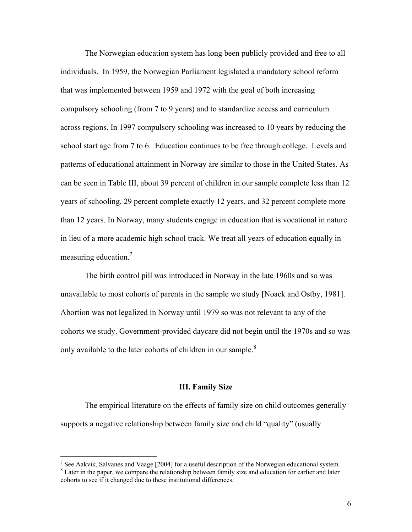The Norwegian education system has long been publicly provided and free to all individuals. In 1959, the Norwegian Parliament legislated a mandatory school reform that was implemented between 1959 and 1972 with the goal of both increasing compulsory schooling (from 7 to 9 years) and to standardize access and curriculum across regions. In 1997 compulsory schooling was increased to 10 years by reducing the school start age from 7 to 6. Education continues to be free through college. Levels and patterns of educational attainment in Norway are similar to those in the United States. As can be seen in Table III, about 39 percent of children in our sample complete less than 12 years of schooling, 29 percent complete exactly 12 years, and 32 percent complete more than 12 years. In Norway, many students engage in education that is vocational in nature in lieu of a more academic high school track. We treat all years of education equally in measuring education. $<sup>7</sup>$ </sup>

 The birth control pill was introduced in Norway in the late 1960s and so was unavailable to most cohorts of parents in the sample we study [Noack and Ostby, 1981]. Abortion was not legalized in Norway until 1979 so was not relevant to any of the cohorts we study. Government-provided daycare did not begin until the 1970s and so was only available to the later cohorts of children in our sample.<sup>8</sup>

#### **III. Family Size**

The empirical literature on the effects of family size on child outcomes generally supports a negative relationship between family size and child "quality" (usually

 $\overline{a}$ 

<sup>&</sup>lt;sup>7</sup> See Aakvik, Salvanes and Vaage [2004] for a useful description of the Norwegian educational system. <sup>8</sup> Later in the paper, we compare the relationship between family size and education for earlier and later cohorts to see if it changed due to these institutional differences.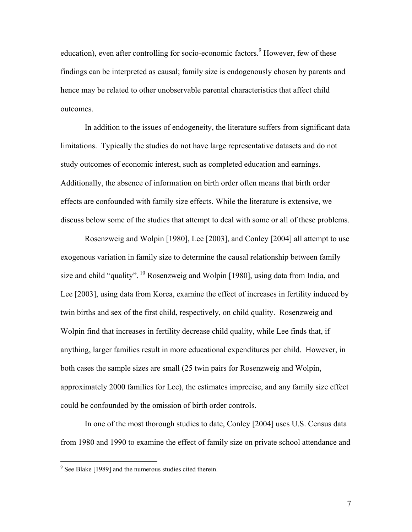education), even after controlling for socio-economic factors.<sup>9</sup> However, few of these findings can be interpreted as causal; family size is endogenously chosen by parents and hence may be related to other unobservable parental characteristics that affect child outcomes.

In addition to the issues of endogeneity, the literature suffers from significant data limitations. Typically the studies do not have large representative datasets and do not study outcomes of economic interest, such as completed education and earnings. Additionally, the absence of information on birth order often means that birth order effects are confounded with family size effects. While the literature is extensive, we discuss below some of the studies that attempt to deal with some or all of these problems.

Rosenzweig and Wolpin [1980], Lee [2003], and Conley [2004] all attempt to use exogenous variation in family size to determine the causal relationship between family size and child "quality". 10 Rosenzweig and Wolpin [1980], using data from India, and Lee [2003], using data from Korea, examine the effect of increases in fertility induced by twin births and sex of the first child, respectively, on child quality. Rosenzweig and Wolpin find that increases in fertility decrease child quality, while Lee finds that, if anything, larger families result in more educational expenditures per child. However, in both cases the sample sizes are small (25 twin pairs for Rosenzweig and Wolpin, approximately 2000 families for Lee), the estimates imprecise, and any family size effect could be confounded by the omission of birth order controls.

In one of the most thorough studies to date, Conley [2004] uses U.S. Census data from 1980 and 1990 to examine the effect of family size on private school attendance and

<sup>&</sup>lt;sup>9</sup> See Blake [1989] and the numerous studies cited therein.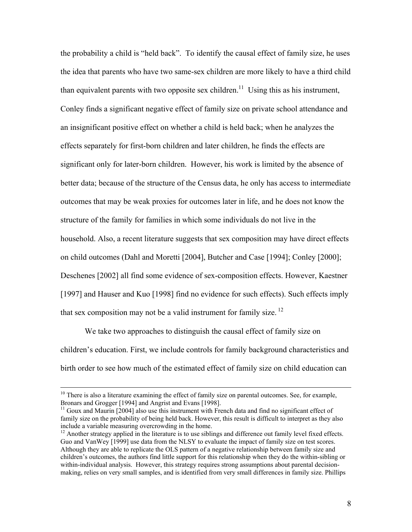the probability a child is "held back". To identify the causal effect of family size, he uses the idea that parents who have two same-sex children are more likely to have a third child than equivalent parents with two opposite sex children.<sup>11</sup> Using this as his instrument, Conley finds a significant negative effect of family size on private school attendance and an insignificant positive effect on whether a child is held back; when he analyzes the effects separately for first-born children and later children, he finds the effects are significant only for later-born children. However, his work is limited by the absence of better data; because of the structure of the Census data, he only has access to intermediate outcomes that may be weak proxies for outcomes later in life, and he does not know the structure of the family for families in which some individuals do not live in the household. Also, a recent literature suggests that sex composition may have direct effects on child outcomes (Dahl and Moretti [2004], Butcher and Case [1994]; Conley [2000]; Deschenes [2002] all find some evidence of sex-composition effects. However, Kaestner [1997] and Hauser and Kuo [1998] find no evidence for such effects). Such effects imply that sex composition may not be a valid instrument for family size.  $12$ 

We take two approaches to distinguish the causal effect of family size on children's education. First, we include controls for family background characteristics and birth order to see how much of the estimated effect of family size on child education can

 $10$  There is also a literature examining the effect of family size on parental outcomes. See, for example, Bronars and Grogger [1994] and Angrist and Evans [1998].

 $11$  Goux and Maurin [2004] also use this instrument with French data and find no significant effect of family size on the probability of being held back. However, this result is difficult to interpret as they also include a variable measuring overcrowding in the home.

 $12$  Another strategy applied in the literature is to use siblings and difference out family level fixed effects. Guo and VanWey [1999] use data from the NLSY to evaluate the impact of family size on test scores. Although they are able to replicate the OLS pattern of a negative relationship between family size and children's outcomes, the authors find little support for this relationship when they do the within-sibling or within-individual analysis. However, this strategy requires strong assumptions about parental decisionmaking, relies on very small samples, and is identified from very small differences in family size. Phillips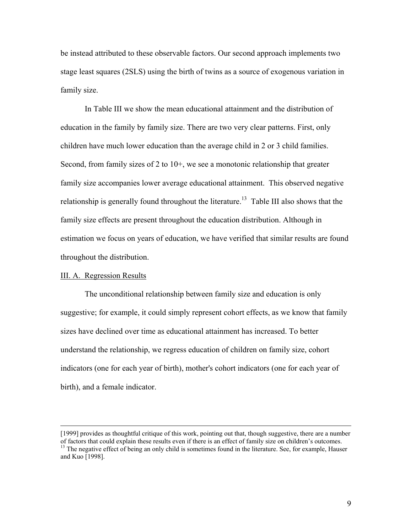be instead attributed to these observable factors. Our second approach implements two stage least squares (2SLS) using the birth of twins as a source of exogenous variation in family size.

 In Table III we show the mean educational attainment and the distribution of education in the family by family size. There are two very clear patterns. First, only children have much lower education than the average child in 2 or 3 child families. Second, from family sizes of 2 to 10+, we see a monotonic relationship that greater family size accompanies lower average educational attainment. This observed negative relationship is generally found throughout the literature.<sup>13</sup> Table III also shows that the family size effects are present throughout the education distribution. Although in estimation we focus on years of education, we have verified that similar results are found throughout the distribution.

# III. A. Regression Results

The unconditional relationship between family size and education is only suggestive; for example, it could simply represent cohort effects, as we know that family sizes have declined over time as educational attainment has increased. To better understand the relationship, we regress education of children on family size, cohort indicators (one for each year of birth), mother's cohort indicators (one for each year of birth), and a female indicator.

 <sup>[1999]</sup> provides as thoughtful critique of this work, pointing out that, though suggestive, there are a number of factors that could explain these results even if there is an effect of family size on children's outcomes. 13 The negative effect of being an only child is sometimes found in the literature. See, for example, Hauser and Kuo [1998].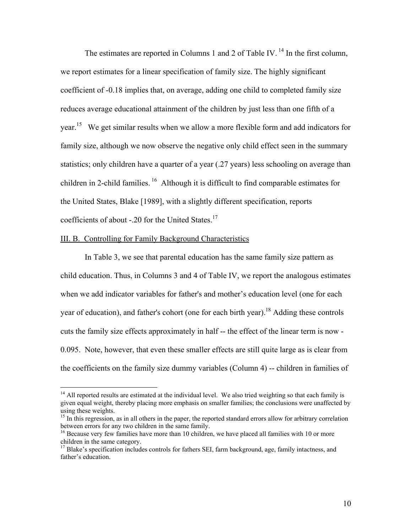The estimates are reported in Columns 1 and 2 of Table IV.<sup>14</sup> In the first column, we report estimates for a linear specification of family size. The highly significant coefficient of -0.18 implies that, on average, adding one child to completed family size reduces average educational attainment of the children by just less than one fifth of a year.<sup>15</sup> We get similar results when we allow a more flexible form and add indicators for family size, although we now observe the negative only child effect seen in the summary statistics; only children have a quarter of a year (.27 years) less schooling on average than children in 2-child families.  $16$  Although it is difficult to find comparable estimates for the United States, Blake [1989], with a slightly different specification, reports coefficients of about  $-20$  for the United States.<sup>17</sup>

#### III. B. Controlling for Family Background Characteristics

 $\overline{a}$ 

In Table 3, we see that parental education has the same family size pattern as child education. Thus, in Columns 3 and 4 of Table IV, we report the analogous estimates when we add indicator variables for father's and mother's education level (one for each year of education), and father's cohort (one for each birth year).<sup>18</sup> Adding these controls cuts the family size effects approximately in half -- the effect of the linear term is now - 0.095. Note, however, that even these smaller effects are still quite large as is clear from the coefficients on the family size dummy variables (Column 4) -- children in families of

<sup>&</sup>lt;sup>14</sup> All reported results are estimated at the individual level. We also tried weighting so that each family is given equal weight, thereby placing more emphasis on smaller families; the conclusions were unaffected by using these weights.

 $15$  In this regression, as in all others in the paper, the reported standard errors allow for arbitrary correlation between errors for any two children in the same family.<br><sup>16</sup> Because very few families have more than 10 children, we have placed all families with 10 or more

children in the same category.

 $17$  Blake's specification includes controls for fathers SEI, farm background, age, family intactness, and father's education.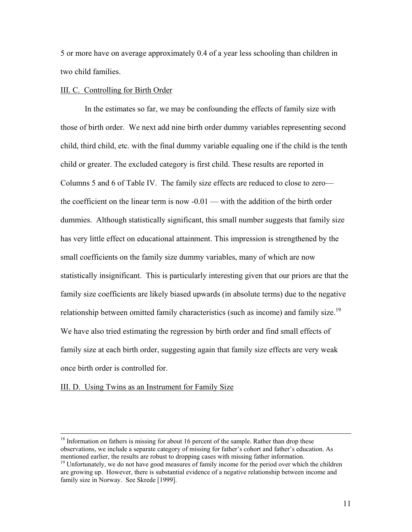5 or more have on average approximately 0.4 of a year less schooling than children in two child families.

# III. C. Controlling for Birth Order

 In the estimates so far, we may be confounding the effects of family size with those of birth order. We next add nine birth order dummy variables representing second child, third child, etc. with the final dummy variable equaling one if the child is the tenth child or greater. The excluded category is first child. These results are reported in Columns 5 and 6 of Table IV. The family size effects are reduced to close to zero the coefficient on the linear term is now -0.01 — with the addition of the birth order dummies. Although statistically significant, this small number suggests that family size has very little effect on educational attainment. This impression is strengthened by the small coefficients on the family size dummy variables, many of which are now statistically insignificant. This is particularly interesting given that our priors are that the family size coefficients are likely biased upwards (in absolute terms) due to the negative relationship between omitted family characteristics (such as income) and family size.<sup>19</sup> We have also tried estimating the regression by birth order and find small effects of family size at each birth order, suggesting again that family size effects are very weak once birth order is controlled for.

### III. D. Using Twins as an Instrument for Family Size

<sup>&</sup>lt;sup>18</sup> Information on fathers is missing for about 16 percent of the sample. Rather than drop these observations, we include a separate category of missing for father's cohort and father's education. As mentioned earlier, the results are robust to dropping cases with missing father information.

<sup>&</sup>lt;sup>19</sup> Unfortunately, we do not have good measures of family income for the period over which the children are growing up. However, there is substantial evidence of a negative relationship between income and family size in Norway. See Skrede [1999].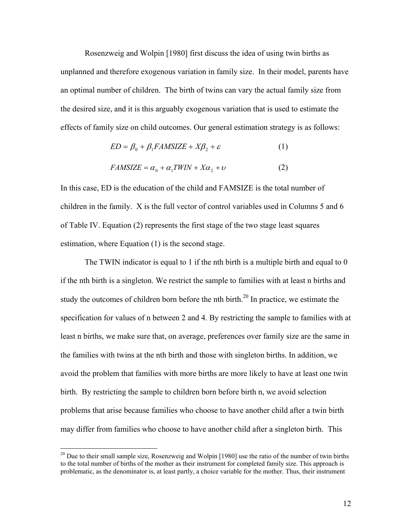Rosenzweig and Wolpin [1980] first discuss the idea of using twin births as unplanned and therefore exogenous variation in family size. In their model, parents have an optimal number of children. The birth of twins can vary the actual family size from the desired size, and it is this arguably exogenous variation that is used to estimate the effects of family size on child outcomes. Our general estimation strategy is as follows:

$$
ED = \beta_0 + \beta_1 FAMSIZE + X\beta_2 + \varepsilon \tag{1}
$$

$$
FAMSIZE = \alpha_0 + \alpha_1 TWIN + X\alpha_2 + \upsilon \tag{2}
$$

In this case, ED is the education of the child and FAMSIZE is the total number of children in the family. X is the full vector of control variables used in Columns 5 and 6 of Table IV. Equation (2) represents the first stage of the two stage least squares estimation, where Equation (1) is the second stage.

The TWIN indicator is equal to 1 if the nth birth is a multiple birth and equal to 0 if the nth birth is a singleton. We restrict the sample to families with at least n births and study the outcomes of children born before the nth birth.<sup>20</sup> In practice, we estimate the specification for values of n between 2 and 4. By restricting the sample to families with at least n births, we make sure that, on average, preferences over family size are the same in the families with twins at the nth birth and those with singleton births. In addition, we avoid the problem that families with more births are more likely to have at least one twin birth. By restricting the sample to children born before birth n, we avoid selection problems that arise because families who choose to have another child after a twin birth may differ from families who choose to have another child after a singleton birth. This

<sup>&</sup>lt;sup>20</sup> Due to their small sample size, Rosenzweig and Wolpin [1980] use the ratio of the number of twin births to the total number of births of the mother as their instrument for completed family size. This approach is problematic, as the denominator is, at least partly, a choice variable for the mother. Thus, their instrument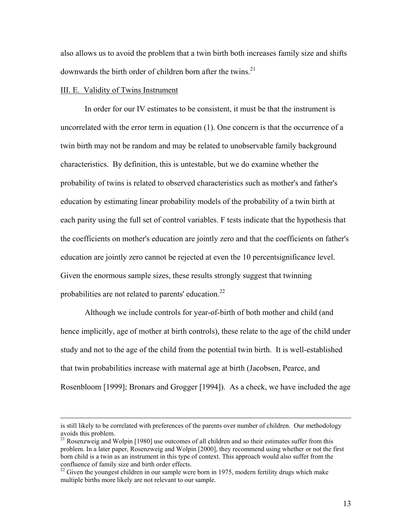also allows us to avoid the problem that a twin birth both increases family size and shifts downwards the birth order of children born after the twins.<sup>21</sup>

# III. E. Validity of Twins Instrument

In order for our IV estimates to be consistent, it must be that the instrument is uncorrelated with the error term in equation (1). One concern is that the occurrence of a twin birth may not be random and may be related to unobservable family background characteristics. By definition, this is untestable, but we do examine whether the probability of twins is related to observed characteristics such as mother's and father's education by estimating linear probability models of the probability of a twin birth at each parity using the full set of control variables. F tests indicate that the hypothesis that the coefficients on mother's education are jointly zero and that the coefficients on father's education are jointly zero cannot be rejected at even the 10 percentsignificance level. Given the enormous sample sizes, these results strongly suggest that twinning probabilities are not related to parents' education. $^{22}$ 

Although we include controls for year-of-birth of both mother and child (and hence implicitly, age of mother at birth controls), these relate to the age of the child under study and not to the age of the child from the potential twin birth. It is well-established that twin probabilities increase with maternal age at birth (Jacobsen, Pearce, and Rosenbloom [1999]; Bronars and Grogger [1994]). As a check, we have included the age

is still likely to be correlated with preferences of the parents over number of children. Our methodology avoids this problem.

<sup>&</sup>lt;sup>21</sup> Rosenzweig and Wolpin [1980] use outcomes of all children and so their estimates suffer from this problem. In a later paper, Rosenzweig and Wolpin [2000], they recommend using whether or not the first born child is a twin as an instrument in this type of context. This approach would also suffer from the confluence of family size and birth order effects.

 $22$  Given the youngest children in our sample were born in 1975, modern fertility drugs which make multiple births more likely are not relevant to our sample.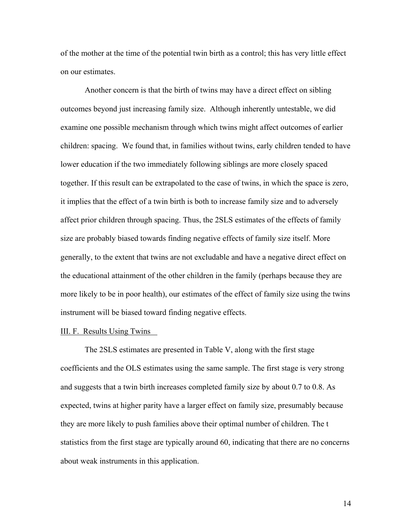of the mother at the time of the potential twin birth as a control; this has very little effect on our estimates.

 Another concern is that the birth of twins may have a direct effect on sibling outcomes beyond just increasing family size. Although inherently untestable, we did examine one possible mechanism through which twins might affect outcomes of earlier children: spacing. We found that, in families without twins, early children tended to have lower education if the two immediately following siblings are more closely spaced together. If this result can be extrapolated to the case of twins, in which the space is zero, it implies that the effect of a twin birth is both to increase family size and to adversely affect prior children through spacing. Thus, the 2SLS estimates of the effects of family size are probably biased towards finding negative effects of family size itself. More generally, to the extent that twins are not excludable and have a negative direct effect on the educational attainment of the other children in the family (perhaps because they are more likely to be in poor health), our estimates of the effect of family size using the twins instrument will be biased toward finding negative effects.

#### III. F. Results Using Twins

The 2SLS estimates are presented in Table V, along with the first stage coefficients and the OLS estimates using the same sample. The first stage is very strong and suggests that a twin birth increases completed family size by about 0.7 to 0.8. As expected, twins at higher parity have a larger effect on family size, presumably because they are more likely to push families above their optimal number of children. The t statistics from the first stage are typically around 60, indicating that there are no concerns about weak instruments in this application.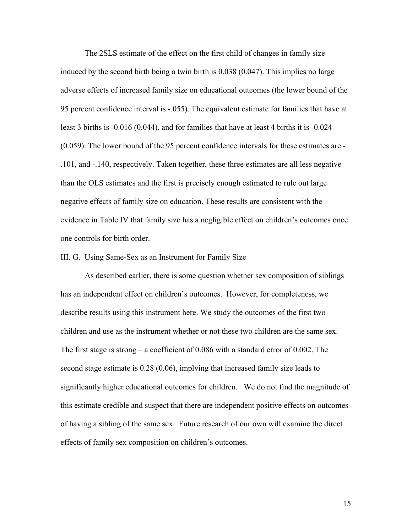The 2SLS estimate of the effect on the first child of changes in family size induced by the second birth being a twin birth is 0.038 (0.047). This implies no large adverse effects of increased family size on educational outcomes (the lower bound of the 95 percent confidence interval is -.055). The equivalent estimate for families that have at least 3 births is -0.016 (0.044), and for families that have at least 4 births it is -0.024 (0.059). The lower bound of the 95 percent confidence intervals for these estimates are - .101, and -.140, respectively. Taken together, these three estimates are all less negative than the OLS estimates and the first is precisely enough estimated to rule out large negative effects of family size on education. These results are consistent with the evidence in Table IV that family size has a negligible effect on children's outcomes once one controls for birth order.

#### III. G. Using Same-Sex as an Instrument for Family Size

 As described earlier, there is some question whether sex composition of siblings has an independent effect on children's outcomes. However, for completeness, we describe results using this instrument here. We study the outcomes of the first two children and use as the instrument whether or not these two children are the same sex. The first stage is strong – a coefficient of 0.086 with a standard error of 0.002. The second stage estimate is 0.28 (0.06), implying that increased family size leads to significantly higher educational outcomes for children. We do not find the magnitude of this estimate credible and suspect that there are independent positive effects on outcomes of having a sibling of the same sex. Future research of our own will examine the direct effects of family sex composition on children's outcomes.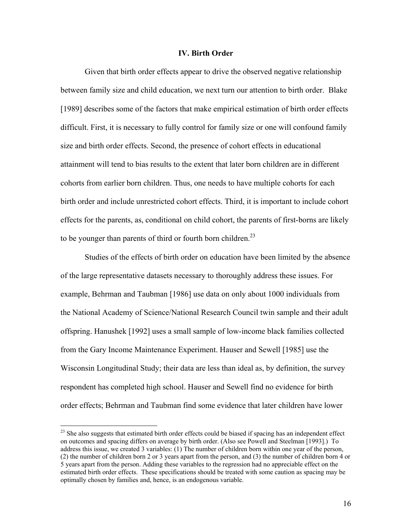### **IV. Birth Order**

Given that birth order effects appear to drive the observed negative relationship between family size and child education, we next turn our attention to birth order. Blake [1989] describes some of the factors that make empirical estimation of birth order effects difficult. First, it is necessary to fully control for family size or one will confound family size and birth order effects. Second, the presence of cohort effects in educational attainment will tend to bias results to the extent that later born children are in different cohorts from earlier born children. Thus, one needs to have multiple cohorts for each birth order and include unrestricted cohort effects. Third, it is important to include cohort effects for the parents, as, conditional on child cohort, the parents of first-borns are likely to be younger than parents of third or fourth born children.<sup>23</sup>

Studies of the effects of birth order on education have been limited by the absence of the large representative datasets necessary to thoroughly address these issues. For example, Behrman and Taubman [1986] use data on only about 1000 individuals from the National Academy of Science/National Research Council twin sample and their adult offspring. Hanushek [1992] uses a small sample of low-income black families collected from the Gary Income Maintenance Experiment. Hauser and Sewell [1985] use the Wisconsin Longitudinal Study; their data are less than ideal as, by definition, the survey respondent has completed high school. Hauser and Sewell find no evidence for birth order effects; Behrman and Taubman find some evidence that later children have lower

 $\overline{a}$ 

 $2<sup>23</sup>$  She also suggests that estimated birth order effects could be biased if spacing has an independent effect on outcomes and spacing differs on average by birth order. (Also see Powell and Steelman [1993].) To address this issue, we created 3 variables: (1) The number of children born within one year of the person, (2) the number of children born 2 or 3 years apart from the person, and (3) the number of children born 4 or 5 years apart from the person. Adding these variables to the regression had no appreciable effect on the estimated birth order effects. These specifications should be treated with some caution as spacing may be optimally chosen by families and, hence, is an endogenous variable.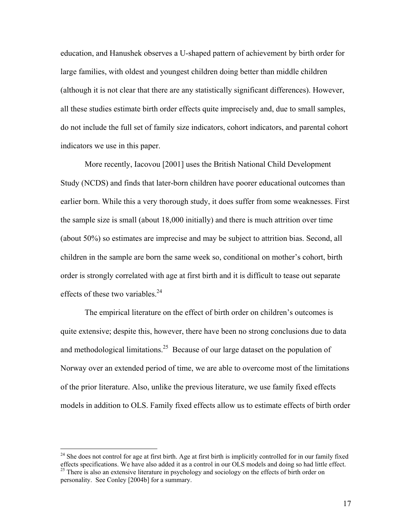education, and Hanushek observes a U-shaped pattern of achievement by birth order for large families, with oldest and youngest children doing better than middle children (although it is not clear that there are any statistically significant differences). However, all these studies estimate birth order effects quite imprecisely and, due to small samples, do not include the full set of family size indicators, cohort indicators, and parental cohort indicators we use in this paper.

More recently, Iacovou [2001] uses the British National Child Development Study (NCDS) and finds that later-born children have poorer educational outcomes than earlier born. While this a very thorough study, it does suffer from some weaknesses. First the sample size is small (about 18,000 initially) and there is much attrition over time (about 50%) so estimates are imprecise and may be subject to attrition bias. Second, all children in the sample are born the same week so, conditional on mother's cohort, birth order is strongly correlated with age at first birth and it is difficult to tease out separate effects of these two variables. $^{24}$ 

The empirical literature on the effect of birth order on children's outcomes is quite extensive; despite this, however, there have been no strong conclusions due to data and methodological limitations.<sup>25</sup> Because of our large dataset on the population of Norway over an extended period of time, we are able to overcome most of the limitations of the prior literature. Also, unlike the previous literature, we use family fixed effects models in addition to OLS. Family fixed effects allow us to estimate effects of birth order

 $\overline{a}$ 

 $24$  She does not control for age at first birth. Age at first birth is implicitly controlled for in our family fixed effects specifications. We have also added it as a control in our OLS models and doing so had little effect.  $25$  There is also an extensive literature in psychology and sociology on the effects of birth order on personality. See Conley [2004b] for a summary.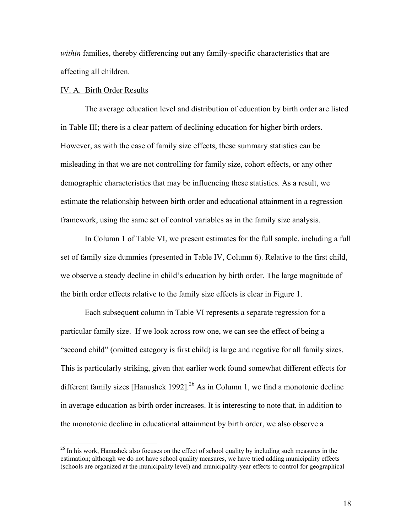*within* families, thereby differencing out any family-specific characteristics that are affecting all children.

#### IV. A. Birth Order Results

 $\overline{a}$ 

The average education level and distribution of education by birth order are listed in Table III; there is a clear pattern of declining education for higher birth orders. However, as with the case of family size effects, these summary statistics can be misleading in that we are not controlling for family size, cohort effects, or any other demographic characteristics that may be influencing these statistics. As a result, we estimate the relationship between birth order and educational attainment in a regression framework, using the same set of control variables as in the family size analysis.

 In Column 1 of Table VI, we present estimates for the full sample, including a full set of family size dummies (presented in Table IV, Column 6). Relative to the first child, we observe a steady decline in child's education by birth order. The large magnitude of the birth order effects relative to the family size effects is clear in Figure 1.

Each subsequent column in Table VI represents a separate regression for a particular family size. If we look across row one, we can see the effect of being a "second child" (omitted category is first child) is large and negative for all family sizes. This is particularly striking, given that earlier work found somewhat different effects for different family sizes [Hanushek 1992].<sup>26</sup> As in Column 1, we find a monotonic decline in average education as birth order increases. It is interesting to note that, in addition to the monotonic decline in educational attainment by birth order, we also observe a

<sup>&</sup>lt;sup>26</sup> In his work, Hanushek also focuses on the effect of school quality by including such measures in the estimation; although we do not have school quality measures, we have tried adding municipality effects (schools are organized at the municipality level) and municipality-year effects to control for geographical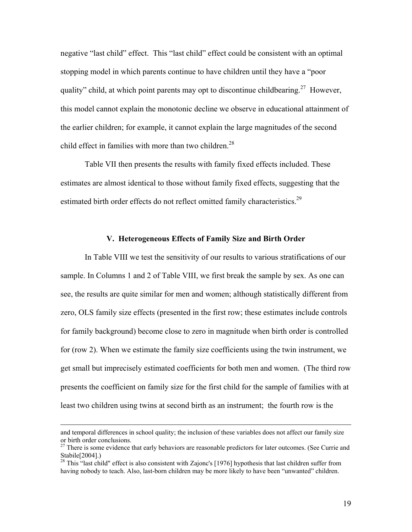negative "last child" effect. This "last child" effect could be consistent with an optimal stopping model in which parents continue to have children until they have a "poor quality" child, at which point parents may opt to discontinue childbearing.<sup>27</sup> However, this model cannot explain the monotonic decline we observe in educational attainment of the earlier children; for example, it cannot explain the large magnitudes of the second child effect in families with more than two children.<sup>28</sup>

Table VII then presents the results with family fixed effects included. These estimates are almost identical to those without family fixed effects, suggesting that the estimated birth order effects do not reflect omitted family characteristics.<sup>29</sup>

## **V. Heterogeneous Effects of Family Size and Birth Order**

In Table VIII we test the sensitivity of our results to various stratifications of our sample. In Columns 1 and 2 of Table VIII, we first break the sample by sex. As one can see, the results are quite similar for men and women; although statistically different from zero, OLS family size effects (presented in the first row; these estimates include controls for family background) become close to zero in magnitude when birth order is controlled for (row 2). When we estimate the family size coefficients using the twin instrument, we get small but imprecisely estimated coefficients for both men and women. (The third row presents the coefficient on family size for the first child for the sample of families with at least two children using twins at second birth as an instrument; the fourth row is the

and temporal differences in school quality; the inclusion of these variables does not affect our family size or birth order conclusions.

<sup>&</sup>lt;sup>27</sup> There is some evidence that early behaviors are reasonable predictors for later outcomes. (See Currie and Stabile[2004].)

<sup>&</sup>lt;sup>28</sup> This "last child" effect is also consistent with Zajonc's [1976] hypothesis that last children suffer from having nobody to teach. Also, last-born children may be more likely to have been "unwanted" children.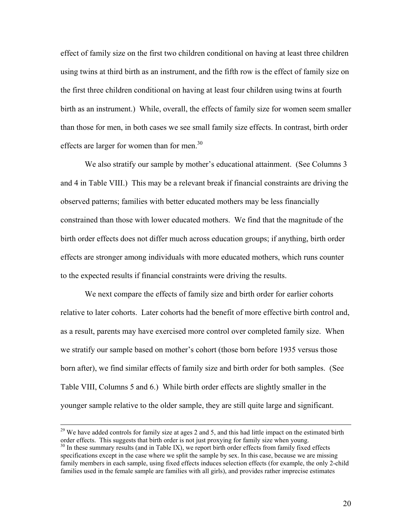effect of family size on the first two children conditional on having at least three children using twins at third birth as an instrument, and the fifth row is the effect of family size on the first three children conditional on having at least four children using twins at fourth birth as an instrument.) While, overall, the effects of family size for women seem smaller than those for men, in both cases we see small family size effects. In contrast, birth order effects are larger for women than for men.<sup>30</sup>

We also stratify our sample by mother's educational attainment. (See Columns 3 and 4 in Table VIII.) This may be a relevant break if financial constraints are driving the observed patterns; families with better educated mothers may be less financially constrained than those with lower educated mothers. We find that the magnitude of the birth order effects does not differ much across education groups; if anything, birth order effects are stronger among individuals with more educated mothers, which runs counter to the expected results if financial constraints were driving the results.

We next compare the effects of family size and birth order for earlier cohorts relative to later cohorts. Later cohorts had the benefit of more effective birth control and, as a result, parents may have exercised more control over completed family size. When we stratify our sample based on mother's cohort (those born before 1935 versus those born after), we find similar effects of family size and birth order for both samples. (See Table VIII, Columns 5 and 6.) While birth order effects are slightly smaller in the younger sample relative to the older sample, they are still quite large and significant.

 $29$  We have added controls for family size at ages 2 and 5, and this had little impact on the estimated birth order effects. This suggests that birth order is not just proxying for family size when young.  $30$  In these summary results (and in Table IX), we report birth order effects from family fixed effects

specifications except in the case where we split the sample by sex. In this case, because we are missing family members in each sample, using fixed effects induces selection effects (for example, the only 2-child families used in the female sample are families with all girls), and provides rather imprecise estimates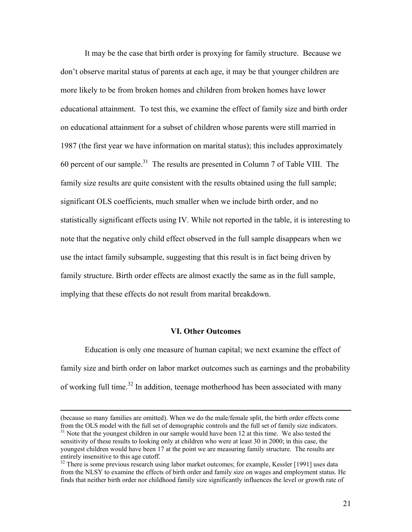It may be the case that birth order is proxying for family structure. Because we don't observe marital status of parents at each age, it may be that younger children are more likely to be from broken homes and children from broken homes have lower educational attainment. To test this, we examine the effect of family size and birth order on educational attainment for a subset of children whose parents were still married in 1987 (the first year we have information on marital status); this includes approximately 60 percent of our sample.<sup>31</sup> The results are presented in Column 7 of Table VIII. The family size results are quite consistent with the results obtained using the full sample; significant OLS coefficients, much smaller when we include birth order, and no statistically significant effects using IV. While not reported in the table, it is interesting to note that the negative only child effect observed in the full sample disappears when we use the intact family subsample, suggesting that this result is in fact being driven by family structure. Birth order effects are almost exactly the same as in the full sample, implying that these effects do not result from marital breakdown.

# **VI. Other Outcomes**

 Education is only one measure of human capital; we next examine the effect of family size and birth order on labor market outcomes such as earnings and the probability of working full time.<sup>32</sup> In addition, teenage motherhood has been associated with many

 <sup>(</sup>because so many families are omitted). When we do the male/female split, the birth order effects come from the OLS model with the full set of demographic controls and the full set of family size indicators.  $31$  Note that the youngest children in our sample would have been 12 at this time. We also tested the

sensitivity of these results to looking only at children who were at least 30 in 2000; in this case, the youngest children would have been 17 at the point we are measuring family structure. The results are entirely insensitive to this age cutoff.

<sup>&</sup>lt;sup>32</sup> There is some previous research using labor market outcomes; for example, Kessler [1991] uses data from the NLSY to examine the effects of birth order and family size on wages and employment status. He finds that neither birth order nor childhood family size significantly influences the level or growth rate of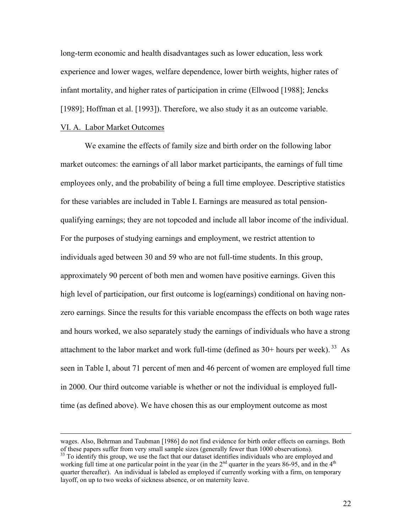long-term economic and health disadvantages such as lower education, less work experience and lower wages, welfare dependence, lower birth weights, higher rates of infant mortality, and higher rates of participation in crime (Ellwood [1988]; Jencks [1989]; Hoffman et al. [1993]). Therefore, we also study it as an outcome variable.

#### VI. A. Labor Market Outcomes

 We examine the effects of family size and birth order on the following labor market outcomes: the earnings of all labor market participants, the earnings of full time employees only, and the probability of being a full time employee. Descriptive statistics for these variables are included in Table I. Earnings are measured as total pensionqualifying earnings; they are not topcoded and include all labor income of the individual. For the purposes of studying earnings and employment, we restrict attention to individuals aged between 30 and 59 who are not full-time students. In this group, approximately 90 percent of both men and women have positive earnings. Given this high level of participation, our first outcome is log(earnings) conditional on having nonzero earnings. Since the results for this variable encompass the effects on both wage rates and hours worked, we also separately study the earnings of individuals who have a strong attachment to the labor market and work full-time (defined as  $30+$  hours per week).  $33$  As seen in Table I, about 71 percent of men and 46 percent of women are employed full time in 2000. Our third outcome variable is whether or not the individual is employed fulltime (as defined above). We have chosen this as our employment outcome as most

wages. Also, Behrman and Taubman [1986] do not find evidence for birth order effects on earnings. Both of these papers suffer from very small sample sizes (generally fewer than 1000 observations).

 $33$  To identify this group, we use the fact that our dataset identifies individuals who are employed and working full time at one particular point in the year (in the  $2<sup>nd</sup>$  quarter in the years 86-95, and in the  $4<sup>th</sup>$ quarter thereafter). An individual is labeled as employed if currently working with a firm, on temporary layoff, on up to two weeks of sickness absence, or on maternity leave.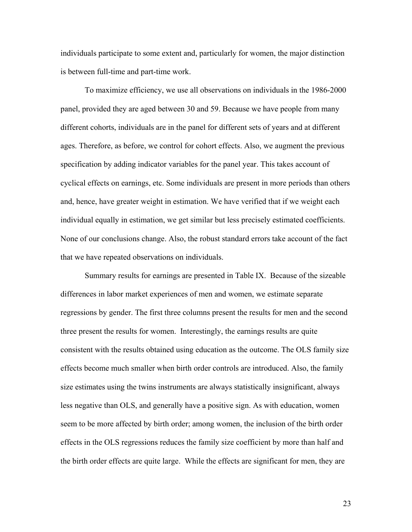individuals participate to some extent and, particularly for women, the major distinction is between full-time and part-time work.

 To maximize efficiency, we use all observations on individuals in the 1986-2000 panel, provided they are aged between 30 and 59. Because we have people from many different cohorts, individuals are in the panel for different sets of years and at different ages. Therefore, as before, we control for cohort effects. Also, we augment the previous specification by adding indicator variables for the panel year. This takes account of cyclical effects on earnings, etc. Some individuals are present in more periods than others and, hence, have greater weight in estimation. We have verified that if we weight each individual equally in estimation, we get similar but less precisely estimated coefficients. None of our conclusions change. Also, the robust standard errors take account of the fact that we have repeated observations on individuals.

 Summary results for earnings are presented in Table IX. Because of the sizeable differences in labor market experiences of men and women, we estimate separate regressions by gender. The first three columns present the results for men and the second three present the results for women. Interestingly, the earnings results are quite consistent with the results obtained using education as the outcome. The OLS family size effects become much smaller when birth order controls are introduced. Also, the family size estimates using the twins instruments are always statistically insignificant, always less negative than OLS, and generally have a positive sign. As with education, women seem to be more affected by birth order; among women, the inclusion of the birth order effects in the OLS regressions reduces the family size coefficient by more than half and the birth order effects are quite large. While the effects are significant for men, they are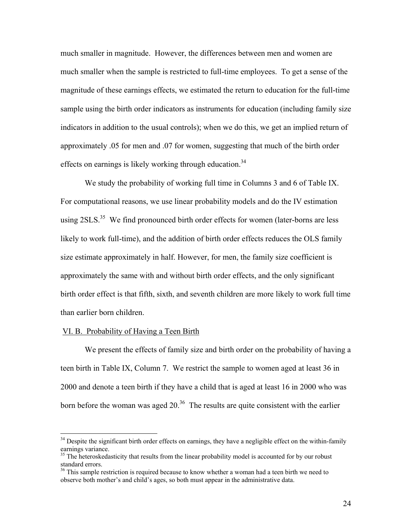much smaller in magnitude. However, the differences between men and women are much smaller when the sample is restricted to full-time employees. To get a sense of the magnitude of these earnings effects, we estimated the return to education for the full-time sample using the birth order indicators as instruments for education (including family size indicators in addition to the usual controls); when we do this, we get an implied return of approximately .05 for men and .07 for women, suggesting that much of the birth order effects on earnings is likely working through education.<sup>34</sup>

 We study the probability of working full time in Columns 3 and 6 of Table IX. For computational reasons, we use linear probability models and do the IV estimation using  $2SLS$ <sup>35</sup> We find pronounced birth order effects for women (later-borns are less likely to work full-time), and the addition of birth order effects reduces the OLS family size estimate approximately in half. However, for men, the family size coefficient is approximately the same with and without birth order effects, and the only significant birth order effect is that fifth, sixth, and seventh children are more likely to work full time than earlier born children.

# VI. B. Probability of Having a Teen Birth

1

 We present the effects of family size and birth order on the probability of having a teen birth in Table IX, Column 7. We restrict the sample to women aged at least 36 in 2000 and denote a teen birth if they have a child that is aged at least 16 in 2000 who was born before the woman was aged  $20^{36}$ . The results are quite consistent with the earlier

<sup>&</sup>lt;sup>34</sup> Despite the significant birth order effects on earnings, they have a negligible effect on the within-family earnings variance.

<sup>&</sup>lt;sup>35</sup> The heteroskedasticity that results from the linear probability model is accounted for by our robust standard errors.

<sup>&</sup>lt;sup>36</sup> This sample restriction is required because to know whether a woman had a teen birth we need to observe both mother's and child's ages, so both must appear in the administrative data.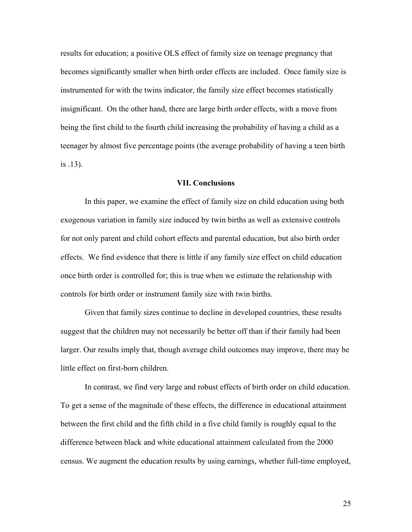results for education; a positive OLS effect of family size on teenage pregnancy that becomes significantly smaller when birth order effects are included. Once family size is instrumented for with the twins indicator, the family size effect becomes statistically insignificant. On the other hand, there are large birth order effects, with a move from being the first child to the fourth child increasing the probability of having a child as a teenager by almost five percentage points (the average probability of having a teen birth is .13).

# **VII. Conclusions**

 In this paper, we examine the effect of family size on child education using both exogenous variation in family size induced by twin births as well as extensive controls for not only parent and child cohort effects and parental education, but also birth order effects. We find evidence that there is little if any family size effect on child education once birth order is controlled for; this is true when we estimate the relationship with controls for birth order or instrument family size with twin births.

Given that family sizes continue to decline in developed countries, these results suggest that the children may not necessarily be better off than if their family had been larger. Our results imply that, though average child outcomes may improve, there may be little effect on first-born children.

In contrast, we find very large and robust effects of birth order on child education. To get a sense of the magnitude of these effects, the difference in educational attainment between the first child and the fifth child in a five child family is roughly equal to the difference between black and white educational attainment calculated from the 2000 census. We augment the education results by using earnings, whether full-time employed,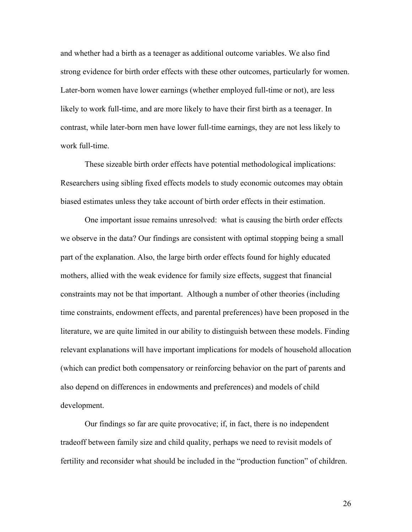and whether had a birth as a teenager as additional outcome variables. We also find strong evidence for birth order effects with these other outcomes, particularly for women. Later-born women have lower earnings (whether employed full-time or not), are less likely to work full-time, and are more likely to have their first birth as a teenager. In contrast, while later-born men have lower full-time earnings, they are not less likely to work full-time.

These sizeable birth order effects have potential methodological implications: Researchers using sibling fixed effects models to study economic outcomes may obtain biased estimates unless they take account of birth order effects in their estimation.

One important issue remains unresolved: what is causing the birth order effects we observe in the data? Our findings are consistent with optimal stopping being a small part of the explanation. Also, the large birth order effects found for highly educated mothers, allied with the weak evidence for family size effects, suggest that financial constraints may not be that important. Although a number of other theories (including time constraints, endowment effects, and parental preferences) have been proposed in the literature, we are quite limited in our ability to distinguish between these models. Finding relevant explanations will have important implications for models of household allocation (which can predict both compensatory or reinforcing behavior on the part of parents and also depend on differences in endowments and preferences) and models of child development.

Our findings so far are quite provocative; if, in fact, there is no independent tradeoff between family size and child quality, perhaps we need to revisit models of fertility and reconsider what should be included in the "production function" of children.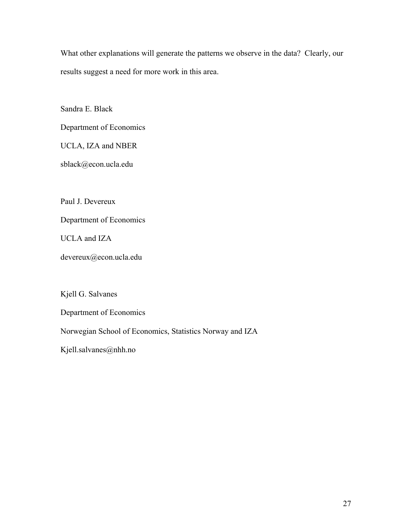What other explanations will generate the patterns we observe in the data? Clearly, our results suggest a need for more work in this area.

Sandra E. Black

Department of Economics

UCLA, IZA and NBER

sblack@econ.ucla.edu

Paul J. Devereux

Department of Economics

UCLA and IZA

devereux@econ.ucla.edu

Kjell G. Salvanes

Department of Economics

Norwegian School of Economics, Statistics Norway and IZA

Kjell.salvanes@nhh.no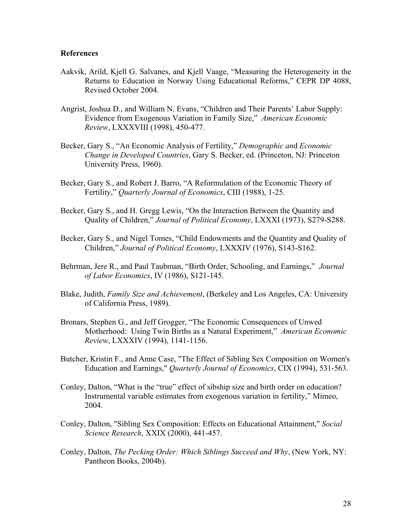# **References**

- Aakvik, Arild, Kjell G. Salvanes, and Kjell Vaage, "Measuring the Heterogeneity in the Returns to Education in Norway Using Educational Reforms," CEPR DP 4088, Revised October 2004.
- Angrist, Joshua D., and William N. Evans, "Children and Their Parents' Labor Supply: Evidence from Exogenous Variation in Family Size," *American Economic Review*, LXXXVIII (1998), 450-477.
- Becker, Gary S., "An Economic Analysis of Fertility," *Demographic an*d *Economic Change in Developed Countries*, Gary S. Becker, ed. (Princeton, NJ: Princeton University Press, 1960).
- Becker, Gary S., and Robert J. Barro, "A Reformulation of the Economic Theory of Fertility," *Quarterly Journal of Economics*, CIII (1988), 1-25.
- Becker, Gary S., and H. Gregg Lewis, "On the Interaction Between the Quantity and Quality of Children," *Journal of Political Economy*, LXXXI (1973), S279-S288.
- Becker, Gary S., and Nigel Tomes, "Child Endowments and the Quantity and Quality of Children," *Journal of Political Economy*, LXXXIV (1976), S143-S162.
- Behrman, Jere R., and Paul Taubman, "Birth Order, Schooling, and Earnings," *Journal of Labor Economics*, IV (1986), S121-145.
- Blake, Judith, *Family Size and Achievement*, (Berkeley and Los Angeles, CA: University of California Press, 1989).
- Bronars, Stephen G., and Jeff Grogger, "The Economic Consequences of Unwed Motherhood: Using Twin Births as a Natural Experiment," *American Economic Review*, LXXXIV (1994), 1141-1156.
- Butcher, Kristin F., and Anne Case, "The Effect of Sibling Sex Composition on Women's Education and Earnings," *Quarterly Journal of Economics*, CIX (1994), 531-563.
- Conley, Dalton, "What is the "true" effect of sibship size and birth order on education? Instrumental variable estimates from exogenous variation in fertility," Mimeo, 2004.
- Conley, Dalton, "Sibling Sex Composition: Effects on Educational Attainment," *Social Science Research*, XXIX (2000), 441-457.
- Conley, Dalton, *The Pecking Order: Which Siblings Succeed and Why*, (New York, NY: Pantheon Books, 2004b).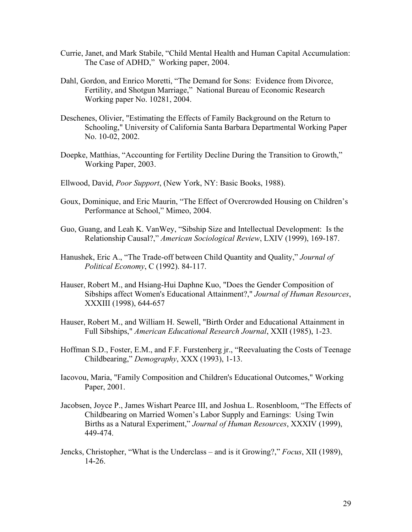- Currie, Janet, and Mark Stabile, "Child Mental Health and Human Capital Accumulation: The Case of ADHD," Working paper, 2004.
- Dahl, Gordon, and Enrico Moretti, "The Demand for Sons: Evidence from Divorce, Fertility, and Shotgun Marriage," National Bureau of Economic Research Working paper No. 10281, 2004.
- Deschenes, Olivier, "Estimating the Effects of Family Background on the Return to Schooling," University of California Santa Barbara Departmental Working Paper No. 10-02, 2002.
- Doepke, Matthias, "Accounting for Fertility Decline During the Transition to Growth," Working Paper, 2003.
- Ellwood, David, *Poor Support*, (New York, NY: Basic Books, 1988).
- Goux, Dominique, and Eric Maurin, "The Effect of Overcrowded Housing on Children's Performance at School," Mimeo, 2004.
- Guo, Guang, and Leah K. VanWey, "Sibship Size and Intellectual Development: Is the Relationship Causal?," *American Sociological Review*, LXIV (1999), 169-187.
- Hanushek, Eric A., "The Trade-off between Child Quantity and Quality," *Journal of Political Economy*, C (1992). 84-117.
- Hauser, Robert M., and Hsiang-Hui Daphne Kuo, "Does the Gender Composition of Sibships affect Women's Educational Attainment?," *Journal of Human Resources*, XXXIII (1998), 644-657
- Hauser, Robert M., and William H. Sewell, "Birth Order and Educational Attainment in Full Sibships," *American Educational Research Journal*, XXII (1985), 1-23.
- Hoffman S.D., Foster, E.M., and F.F. Furstenberg jr., "Reevaluating the Costs of Teenage Childbearing," *Demography*, XXX (1993), 1-13.
- Iacovou, Maria, "Family Composition and Children's Educational Outcomes," Working Paper, 2001.
- Jacobsen, Joyce P., James Wishart Pearce III, and Joshua L. Rosenbloom, "The Effects of Childbearing on Married Women's Labor Supply and Earnings: Using Twin Births as a Natural Experiment," *Journal of Human Resources*, XXXIV (1999), 449-474.
- Jencks, Christopher, "What is the Underclass and is it Growing?," *Focus*, XII (1989), 14-26.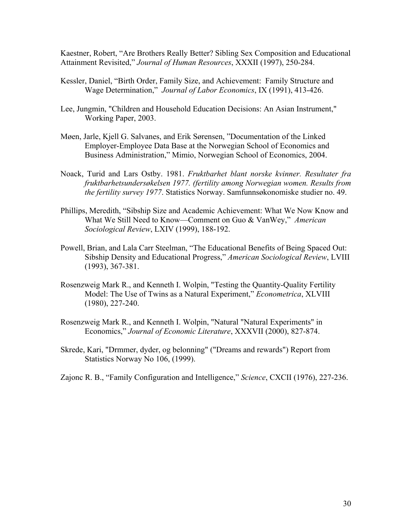Kaestner, Robert, "Are Brothers Really Better? Sibling Sex Composition and Educational Attainment Revisited," *Journal of Human Resources*, XXXII (1997), 250-284.

- Kessler, Daniel, "Birth Order, Family Size, and Achievement: Family Structure and Wage Determination," *Journal of Labor Economics*, IX (1991), 413-426.
- Lee, Jungmin, "Children and Household Education Decisions: An Asian Instrument," Working Paper, 2003.
- Møen, Jarle, Kjell G. Salvanes, and Erik Sørensen, "Documentation of the Linked Employer-Employee Data Base at the Norwegian School of Economics and Business Administration," Mimio, Norwegian School of Economics, 2004.
- Noack, Turid and Lars Ostby. 1981. *Fruktbarhet blant norske kvinner. Resultater fra fruktbarhetsundersøkelsen 1977. (fertility among Norwegian women. Results from the fertility survey 1977*. Statistics Norway. Samfunnsøkonomiske studier no. 49.
- Phillips, Meredith, "Sibship Size and Academic Achievement: What We Now Know and What We Still Need to Know—Comment on Guo & VanWey," *American Sociological Review*, LXIV (1999), 188-192.
- Powell, Brian, and Lala Carr Steelman, "The Educational Benefits of Being Spaced Out: Sibship Density and Educational Progress," *American Sociological Review*, LVIII (1993), 367-381.
- Rosenzweig Mark R., and Kenneth I. Wolpin, "Testing the Quantity-Quality Fertility Model: The Use of Twins as a Natural Experiment," *Econometrica*, XLVIII (1980), 227-240.
- Rosenzweig Mark R., and Kenneth I. Wolpin, "Natural "Natural Experiments" in Economics," *Journal of Economic Literature*, XXXVII (2000), 827-874.
- Skrede, Kari, "Drmmer, dyder, og belonning" ("Dreams and rewards") Report from Statistics Norway No 106, (1999).
- Zajonc R. B., "Family Configuration and Intelligence," *Science*, CXCII (1976), 227-236.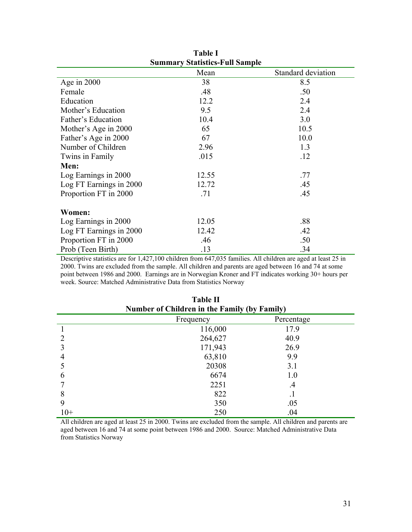| <b>Summary Statistics-Full Sample</b> |       |                    |  |  |  |  |  |
|---------------------------------------|-------|--------------------|--|--|--|--|--|
|                                       | Mean  | Standard deviation |  |  |  |  |  |
| Age in $2000$                         | 38    | 8.5                |  |  |  |  |  |
| Female                                | .48   | .50                |  |  |  |  |  |
| Education                             | 12.2  | 2.4                |  |  |  |  |  |
| Mother's Education                    | 9.5   | 2.4                |  |  |  |  |  |
| Father's Education                    | 10.4  | 3.0                |  |  |  |  |  |
| Mother's Age in 2000                  | 65    | 10.5               |  |  |  |  |  |
| Father's Age in 2000                  | 67    | 10.0               |  |  |  |  |  |
| Number of Children                    | 2.96  | 1.3                |  |  |  |  |  |
| Twins in Family                       | .015  | .12                |  |  |  |  |  |
| Men:                                  |       |                    |  |  |  |  |  |
| Log Earnings in 2000                  | 12.55 | .77                |  |  |  |  |  |
| Log FT Earnings in 2000               | 12.72 | .45                |  |  |  |  |  |
| Proportion FT in 2000                 | .71   | .45                |  |  |  |  |  |
| Women:                                |       |                    |  |  |  |  |  |
| Log Earnings in 2000                  | 12.05 | .88                |  |  |  |  |  |
| Log FT Earnings in 2000               | 12.42 | .42                |  |  |  |  |  |
| Proportion FT in 2000                 | .46   | .50                |  |  |  |  |  |
| Prob (Teen Birth)                     | .13   | .34                |  |  |  |  |  |

**Table I** 

Descriptive statistics are for 1,427,100 children from 647,035 families. All children are aged at least 25 in 2000. Twins are excluded from the sample. All children and parents are aged between 16 and 74 at some point between 1986 and 2000. Earnings are in Norwegian Kroner and FT indicates working 30+ hours per week. Source: Matched Administrative Data from Statistics Norway

|                                              | * ***** ** |            |  |  |  |  |  |  |  |
|----------------------------------------------|------------|------------|--|--|--|--|--|--|--|
| Number of Children in the Family (by Family) |            |            |  |  |  |  |  |  |  |
|                                              | Frequency  | Percentage |  |  |  |  |  |  |  |
|                                              | 116,000    | 17.9       |  |  |  |  |  |  |  |
|                                              | 264,627    | 40.9       |  |  |  |  |  |  |  |
|                                              | 171,943    | 26.9       |  |  |  |  |  |  |  |
| 4                                            | 63,810     | 9.9        |  |  |  |  |  |  |  |
|                                              | 20308      | 3.1        |  |  |  |  |  |  |  |
| 6                                            | 6674       | 1.0        |  |  |  |  |  |  |  |
|                                              | 2251       | $\cdot$    |  |  |  |  |  |  |  |
| 8                                            | 822        |            |  |  |  |  |  |  |  |
| 9                                            | 350        | .05        |  |  |  |  |  |  |  |
| $10+$                                        | 250        | .04        |  |  |  |  |  |  |  |

**Table II** 

All children are aged at least 25 in 2000. Twins are excluded from the sample. All children and parents are aged between 16 and 74 at some point between 1986 and 2000. Source: Matched Administrative Data from Statistics Norway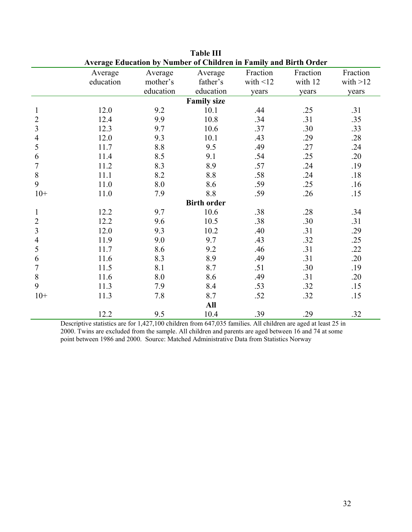| Average Education by Number of Children in Family and Birth Order |           |           |                    |                |          |            |  |  |  |  |  |
|-------------------------------------------------------------------|-----------|-----------|--------------------|----------------|----------|------------|--|--|--|--|--|
|                                                                   | Average   | Average   | Average            | Fraction       | Fraction | Fraction   |  |  |  |  |  |
|                                                                   | education | mother's  | father's           | with $\leq$ 12 | with 12  | with $>12$ |  |  |  |  |  |
|                                                                   |           | education | education          | years          | years    | years      |  |  |  |  |  |
| <b>Family size</b>                                                |           |           |                    |                |          |            |  |  |  |  |  |
| 1                                                                 | 12.0      | 9.2       | 10.1               | .44            | .25      | .31        |  |  |  |  |  |
| $\overline{2}$                                                    | 12.4      | 9.9       | 10.8               | .34            | .31      | .35        |  |  |  |  |  |
| 3                                                                 | 12.3      | 9.7       | 10.6               | .37            | .30      | .33        |  |  |  |  |  |
| 4                                                                 | 12.0      | 9.3       | 10.1               | .43            | .29      | .28        |  |  |  |  |  |
| 5                                                                 | 11.7      | 8.8       | 9.5                | .49            | .27      | .24        |  |  |  |  |  |
| 6                                                                 | 11.4      | 8.5       | 9.1                | .54            | .25      | .20        |  |  |  |  |  |
| 7                                                                 | 11.2      | 8.3       | 8.9                | .57            | .24      | .19        |  |  |  |  |  |
| 8                                                                 | 11.1      | 8.2       | 8.8                | .58            | .24      | .18        |  |  |  |  |  |
| 9                                                                 | 11.0      | 8.0       | 8.6                | .59            | .25      | .16        |  |  |  |  |  |
| $10+$                                                             | 11.0      | 7.9       | 8.8                | .59            | .26      | .15        |  |  |  |  |  |
|                                                                   |           |           | <b>Birth order</b> |                |          |            |  |  |  |  |  |
| $\mathbf{1}$                                                      | 12.2      | 9.7       | 10.6               | .38            | .28      | .34        |  |  |  |  |  |
| $\overline{2}$                                                    | 12.2      | 9.6       | 10.5               | .38            | .30      | .31        |  |  |  |  |  |
| 3                                                                 | 12.0      | 9.3       | 10.2               | .40            | .31      | .29        |  |  |  |  |  |
| 4                                                                 | 11.9      | 9.0       | 9.7                | .43            | .32      | .25        |  |  |  |  |  |
| 5                                                                 | 11.7      | 8.6       | 9.2                | .46            | .31      | .22        |  |  |  |  |  |
| 6                                                                 | 11.6      | 8.3       | 8.9                | .49            | .31      | .20        |  |  |  |  |  |
| 7                                                                 | 11.5      | 8.1       | 8.7                | .51            | .30      | .19        |  |  |  |  |  |
| 8                                                                 | 11.6      | 8.0       | 8.6                | .49            | .31      | .20        |  |  |  |  |  |
| 9                                                                 | 11.3      | 7.9       | 8.4                | .53            | .32      | .15        |  |  |  |  |  |
| $10+$                                                             | 11.3      | 7.8       | 8.7                | .52            | .32      | .15        |  |  |  |  |  |
|                                                                   |           |           | All                |                |          |            |  |  |  |  |  |
|                                                                   | 12.2      | 9.5       | 10.4               | .39            | .29      | .32        |  |  |  |  |  |

**Table III** 

Descriptive statistics are for 1,427,100 children from 647,035 families. All children are aged at least 25 in 2000. Twins are excluded from the sample. All children and parents are aged between 16 and 74 at some point between 1986 and 2000. Source: Matched Administrative Data from Statistics Norway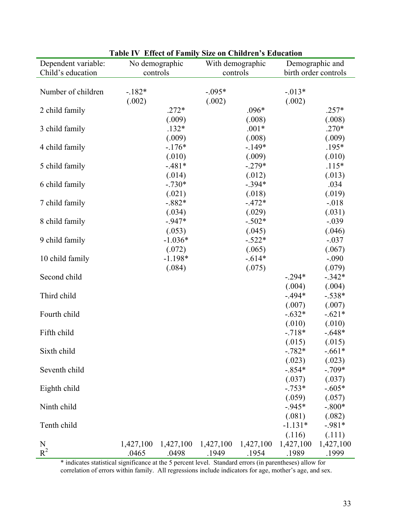| Dependent variable: | No demographic |           |           | Enver of Tannity Side on Children 5 Baucatio<br>With demographic |           | Demographic and      |  |
|---------------------|----------------|-----------|-----------|------------------------------------------------------------------|-----------|----------------------|--|
| Child's education   | controls       |           | controls  |                                                                  |           | birth order controls |  |
|                     |                |           |           |                                                                  |           |                      |  |
| Number of children  | $-182*$        |           | $-.095*$  |                                                                  | $-.013*$  |                      |  |
|                     | (.002)         |           | (.002)    |                                                                  | (.002)    |                      |  |
| 2 child family      |                | $.272*$   |           | $.096*$                                                          |           | $.257*$              |  |
|                     |                | (.009)    |           | (.008)                                                           |           | (.008)               |  |
| 3 child family      |                | $.132*$   |           | $.001*$                                                          |           | $.270*$              |  |
|                     |                | (.009)    |           | (.008)                                                           |           | (.009)               |  |
| 4 child family      |                | $-.176*$  |           | $-149*$                                                          |           | .195*                |  |
|                     |                | (.010)    |           | (.009)                                                           |           | (.010)               |  |
| 5 child family      |                | $-.481*$  |           | $-.279*$                                                         |           | $.115*$              |  |
|                     |                | (.014)    |           | (.012)                                                           |           | (.013)               |  |
| 6 child family      |                | $-.730*$  |           | $-.394*$                                                         |           | .034                 |  |
|                     |                | (.021)    |           | (.018)                                                           |           | (.019)               |  |
| 7 child family      |                | $-.882*$  |           | $-472*$                                                          |           | $-0.018$             |  |
|                     |                | (.034)    |           | (.029)                                                           |           | (.031)               |  |
| 8 child family      |                | $-947*$   |           | $-.502*$                                                         |           | $-.039$              |  |
|                     |                | (.053)    |           | (.045)                                                           |           | (.046)               |  |
| 9 child family      |                | $-1.036*$ |           | $-.522*$                                                         |           | $-.037$              |  |
|                     |                | (.072)    |           | (.065)                                                           |           | (.067)               |  |
| 10 child family     |                | $-1.198*$ |           | $-.614*$                                                         |           | $-.090$              |  |
|                     |                | (.084)    |           | (.075)                                                           |           | (.079)               |  |
| Second child        |                |           |           |                                                                  | $-.294*$  | $-.342*$             |  |
|                     |                |           |           |                                                                  | (.004)    | (.004)               |  |
| Third child         |                |           |           |                                                                  | $-494*$   | $-.538*$             |  |
|                     |                |           |           |                                                                  | (.007)    | (.007)               |  |
| Fourth child        |                |           |           |                                                                  | $-.632*$  | $-.621*$             |  |
|                     |                |           |           |                                                                  | (.010)    | (.010)               |  |
| Fifth child         |                |           |           |                                                                  | $-718*$   | $-.648*$             |  |
|                     |                |           |           |                                                                  | (.015)    | (.015)               |  |
| Sixth child         |                |           |           |                                                                  | $-.782*$  | $-.661*$             |  |
|                     |                |           |           |                                                                  | (.023)    | (.023)               |  |
| Seventh child       |                |           |           |                                                                  | $-.854*$  | $-.709*$             |  |
|                     |                |           |           |                                                                  | (.037)    | (.037)               |  |
| Eighth child        |                |           |           |                                                                  | $-.753*$  | $-.605*$             |  |
|                     |                |           |           |                                                                  | (.059)    | (.057)               |  |
| Ninth child         |                |           |           |                                                                  | $-945*$   | $-.800*$             |  |
|                     |                |           |           |                                                                  | (.081)    | (.082)               |  |
| Tenth child         |                |           |           |                                                                  | $-1.131*$ | $-981*$              |  |
|                     |                |           |           |                                                                  | (.116)    | (.111)               |  |
| N                   | 1,427,100      | 1,427,100 | 1,427,100 | 1,427,100                                                        | 1,427,100 | 1,427,100            |  |
| $R^2$               | .0465          | .0498     | .1949     | .1954                                                            | .1989     | .1999                |  |

| Table IV Effect of Family Size on Children's Education |  |
|--------------------------------------------------------|--|
|--------------------------------------------------------|--|

\* indicates statistical significance at the 5 percent level. Standard errors (in parentheses) allow for correlation of errors within family. All regressions include indicators for age, mother's age, and sex.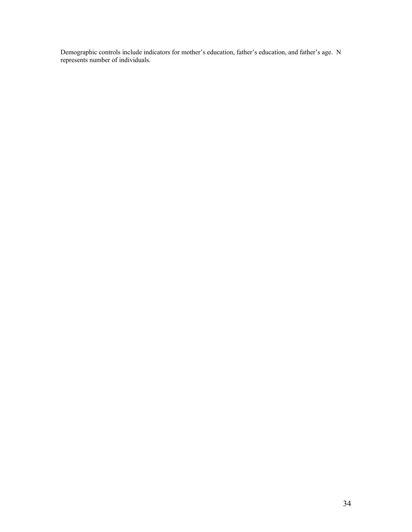Demographic controls include indicators for mother's education, father's education, and father's age. N represents number of individuals.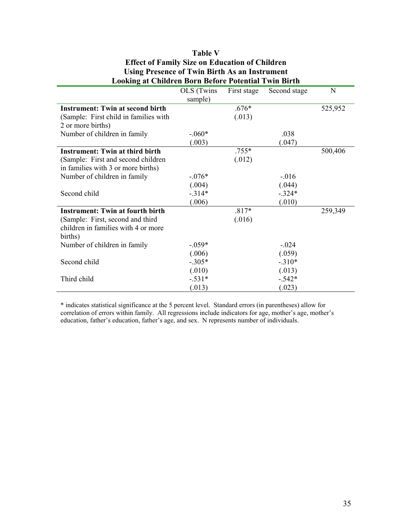| <b>Looking at Children Born Before Potential Twin Birth</b> |            |             |              |         |  |  |  |  |
|-------------------------------------------------------------|------------|-------------|--------------|---------|--|--|--|--|
|                                                             | OLS (Twins | First stage | Second stage | N       |  |  |  |  |
|                                                             | sample)    |             |              |         |  |  |  |  |
| <b>Instrument: Twin at second birth</b>                     |            | $.676*$     |              | 525,952 |  |  |  |  |
| (Sample: First child in families with                       |            | (.013)      |              |         |  |  |  |  |
| 2 or more births)                                           |            |             |              |         |  |  |  |  |
| Number of children in family                                | $-.060*$   |             | .038         |         |  |  |  |  |
|                                                             | (.003)     |             | (.047)       |         |  |  |  |  |
| <b>Instrument: Twin at third birth</b>                      |            | $.755*$     |              | 500,406 |  |  |  |  |
| (Sample: First and second children)                         |            | (.012)      |              |         |  |  |  |  |
| in families with 3 or more births)                          |            |             |              |         |  |  |  |  |
| Number of children in family                                | $-.076*$   |             | $-.016$      |         |  |  |  |  |
|                                                             | (.004)     |             | (.044)       |         |  |  |  |  |
| Second child                                                | $-.314*$   |             | $-.324*$     |         |  |  |  |  |
|                                                             | (.006)     |             | (.010)       |         |  |  |  |  |
| <b>Instrument: Twin at fourth birth</b>                     |            | $.817*$     |              | 259,349 |  |  |  |  |
| (Sample: First, second and third                            |            | (.016)      |              |         |  |  |  |  |
| children in families with 4 or more                         |            |             |              |         |  |  |  |  |
| births)                                                     |            |             |              |         |  |  |  |  |
| Number of children in family                                | $-0.059*$  |             | $-.024$      |         |  |  |  |  |
|                                                             | (.006)     |             | (.059)       |         |  |  |  |  |
| Second child                                                | $-.305*$   |             | $-.310*$     |         |  |  |  |  |
|                                                             | (.010)     |             | (.013)       |         |  |  |  |  |
| Third child                                                 | $-.531*$   |             | $-.542*$     |         |  |  |  |  |
|                                                             | (.013)     |             | (.023)       |         |  |  |  |  |

# **Table V Effect of Family Size on Education of Children Using Presence of Twin Birth As an Instrument**

\* indicates statistical significance at the 5 percent level. Standard errors (in parentheses) allow for correlation of errors within family. All regressions include indicators for age, mother's age, mother's education, father's education, father's age, and sex. N represents number of individuals.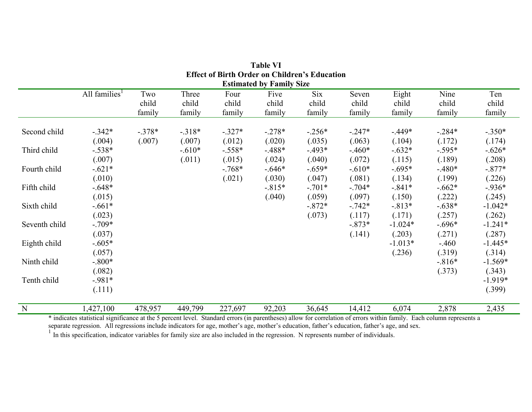|               |                           |          |          |          | <b>Estimated by Family Size</b> |          |          |           |           |           |
|---------------|---------------------------|----------|----------|----------|---------------------------------|----------|----------|-----------|-----------|-----------|
|               | All families <sup>1</sup> | Two      | Three    | Four     | Five                            | Six      | Seven    | Eight     | Nine      | Ten       |
|               |                           | child    | child    | child    | child                           | child    | child    | child     | child     | child     |
|               |                           | family   | family   | family   | family                          | family   | family   | family    | family    | family    |
| Second child  | $-.342*$                  | $-.378*$ | $-318*$  | $-.327*$ | $-.278*$                        | $-.256*$ | $-.247*$ | $-449*$   | $-0.284*$ | $-.350*$  |
|               | (.004)                    | (.007)   | (.007)   | (.012)   | (.020)                          | (.035)   | (.063)   | (.104)    | (.172)    | (.174)    |
| Third child   | $-.538*$                  |          | $-.610*$ | $-.558*$ | $-488*$                         | $-493*$  | $-460*$  | $-.632*$  | $-.595*$  | $-.626*$  |
|               | (.007)                    |          | (.011)   | (.015)   | (.024)                          | (.040)   | (.072)   | (.115)    | (.189)    | (.208)    |
| Fourth child  | $-.621*$                  |          |          | $-768*$  | $-.646*$                        | $-.659*$ | $-.610*$ | $-.695*$  | $-.480*$  | $-.877*$  |
|               | (.010)                    |          |          | (.021)   | (.030)                          | (.047)   | (.081)   | (.134)    | (.199)    | (.226)    |
| Fifth child   | $-.648*$                  |          |          |          | $-.815*$                        | $-.701*$ | $-.704*$ | $-.841*$  | $-.662*$  | $-936*$   |
|               | (.015)                    |          |          |          | (.040)                          | (.059)   | (.097)   | (.150)    | (.222)    | (.245)    |
| Sixth child   | $-.661*$                  |          |          |          |                                 | $-.872*$ | $-.742*$ | $-.813*$  | $-.638*$  | $-1.042*$ |
|               | (.023)                    |          |          |          |                                 | (.073)   | (.117)   | (.171)    | (.257)    | (.262)    |
| Seventh child | $-.709*$                  |          |          |          |                                 |          | $-.873*$ | $-1.024*$ | $-.696*$  | $-1.241*$ |
|               | (.037)                    |          |          |          |                                 |          | (.141)   | (.203)    | (.271)    | (.287)    |
| Eighth child  | $-.605*$                  |          |          |          |                                 |          |          | $-1.013*$ | $-460$    | $-1.445*$ |
|               | (.057)                    |          |          |          |                                 |          |          | (.236)    | (.319)    | (.314)    |
| Ninth child   | $-.800*$                  |          |          |          |                                 |          |          |           | $-816*$   | $-1.569*$ |
|               | (.082)                    |          |          |          |                                 |          |          |           | (.373)    | (.343)    |
| Tenth child   | $-981*$                   |          |          |          |                                 |          |          |           |           | $-1.919*$ |
|               | (.111)                    |          |          |          |                                 |          |          |           |           | (.399)    |
| N             | 1,427,100                 | 478,957  | 449,799  | 227,697  | 92,203                          | 36,645   | 14,412   | 6,074     | 2,878     | 2,435     |

**Table VI Effect of Birth Order on Children's Education** 

\* indicates statistical significance at the 5 percent level. Standard errors (in parentheses) allow for correlation of errors within family. Each column represents a

separate regression. All regressions include indicators for age, mother's age, mother's education, father's education, father's age, and sex.<br><sup>1</sup> In this specification, indicator variables for family size are also included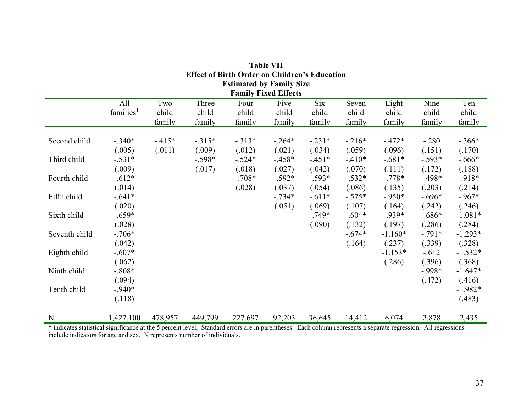| <b>Estimated by Family Size</b><br><b>Family Fixed Effects</b>                     |                       |         |          |          |          |          |          |           |          |           |  |
|------------------------------------------------------------------------------------|-----------------------|---------|----------|----------|----------|----------|----------|-----------|----------|-----------|--|
| <b>Six</b><br>Ten<br>All<br>Two<br>Three<br>Four<br>Five<br>Seven<br>Eight<br>Nine |                       |         |          |          |          |          |          |           |          |           |  |
|                                                                                    | families <sup>1</sup> | child   | child    | child    | child    | child    | child    | child     | child    | child     |  |
|                                                                                    |                       | family  | family   | family   | family   | family   | family   | family    | family   | family    |  |
| Second child                                                                       | $-.340*$              | $-415*$ | $-315*$  | $-.313*$ | $-.264*$ | $-.231*$ | $-216*$  | $-472*$   | $-.280$  | $-.366*$  |  |
|                                                                                    | (.005)                | (.011)  | (.009)   | (.012)   | (.021)   | (.034)   | (.059)   | (.096)    | (.151)   | (.170)    |  |
| Third child                                                                        | $-.531*$              |         | $-.598*$ | $-.524*$ | $-458*$  | $-451*$  | $-.410*$ | $-.681*$  | $-.593*$ | $-.666*$  |  |
|                                                                                    | (.009)                |         | (.017)   | (.018)   | (.027)   | (.042)   | (.070)   | (.111)    | (.172)   | (.188)    |  |
| Fourth child                                                                       | $-.612*$              |         |          | $-.708*$ | $-.592*$ | $-.593*$ | $-.532*$ | $-.778*$  | $-498*$  | $-918*$   |  |
|                                                                                    | (.014)                |         |          | (.028)   | (.037)   | (.054)   | (.086)   | (.135)    | (.203)   | (.214)    |  |
| Fifth child                                                                        | $-.641*$              |         |          |          | $-.734*$ | $-.611*$ | $-.575*$ | $-.950*$  | $-.696*$ | $-967*$   |  |
|                                                                                    | (.020)                |         |          |          | (.051)   | (.069)   | (.107)   | (.164)    | (.242)   | (.246)    |  |
| Sixth child                                                                        | $-.659*$              |         |          |          |          | $-749*$  | $-.604*$ | $-939*$   | $-.686*$ | $-1.081*$ |  |
|                                                                                    | (.028)                |         |          |          |          | (.090)   | (.132)   | (.197)    | (.286)   | (.284)    |  |
| Seventh child                                                                      | $-.706*$              |         |          |          |          |          | $-.674*$ | $-1.160*$ | $-.791*$ | $-1.293*$ |  |
|                                                                                    | (.042)                |         |          |          |          |          | (.164)   | (.237)    | (.339)   | (.328)    |  |
| Eighth child                                                                       | $-.607*$              |         |          |          |          |          |          | $-1.153*$ | $-.612$  | $-1.532*$ |  |
|                                                                                    | (.062)                |         |          |          |          |          |          | (.286)    | (.396)   | (.368)    |  |
| Ninth child                                                                        | $-.808*$              |         |          |          |          |          |          |           | $-998*$  | $-1.647*$ |  |
|                                                                                    | (.094)                |         |          |          |          |          |          |           | (.472)   | (.416)    |  |
| Tenth child                                                                        | $-940*$               |         |          |          |          |          |          |           |          | $-1.982*$ |  |
|                                                                                    | (.118)                |         |          |          |          |          |          |           |          | (.483)    |  |
| N                                                                                  | 1,427,100             | 478,957 | 449,799  | 227,697  | 92,203   | 36,645   | 14,412   | 6,074     | 2,878    | 2,435     |  |

**Table VII Effect of Birth Order on Children's Education** 

\* indicates statistical significance at the 5 percent level. Standard errors are in parentheses. Each column represents a separate regression. All regressions include indicators for age and sex. N represents number of individuals.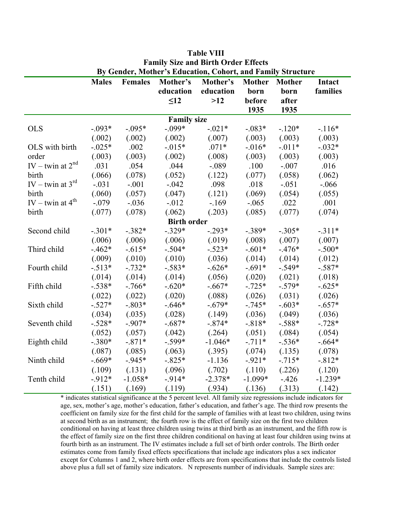| By Gender, Mother's Education, Cohort, and Family Structure |              |                |                    |           |           |          |           |  |  |
|-------------------------------------------------------------|--------------|----------------|--------------------|-----------|-----------|----------|-----------|--|--|
|                                                             | <b>Males</b> | <b>Females</b> | Mother's           | Intact    |           |          |           |  |  |
|                                                             |              |                | education          | education | born      | born     | families  |  |  |
|                                                             |              |                | $\leq 12$          | $>12$     | before    | after    |           |  |  |
|                                                             |              |                |                    |           | 1935      | 1935     |           |  |  |
|                                                             |              |                | <b>Family size</b> |           |           |          |           |  |  |
| <b>OLS</b>                                                  | $-.093*$     | $-.095*$       | $-.099*$           | $-.021*$  | $-.083*$  | $-.120*$ | $-116*$   |  |  |
|                                                             | (.002)       | (.002)         | (.002)             | (.007)    | (.003)    | (.003)   | (.003)    |  |  |
| OLS with birth                                              | $-.025*$     | .002           | $-0.015*$          | $.071*$   | $-0.016*$ | $-.011*$ | $-.032*$  |  |  |
| order                                                       | (.003)       | (.003)         | (.002)             | (.008)    | (.003)    | (.003)   | (.003)    |  |  |
| IV – twin at $2^{nd}$                                       | .031         | .054           | .044               | $-.089$   | .100      | $-.007$  | .016      |  |  |
| birth                                                       | (.066)       | (.078)         | (.052)             | (.122)    | (.077)    | (.058)   | (.062)    |  |  |
| IV – twin at $3^{rd}$                                       | $-.031$      | $-.001$        | $-.042$            | .098      | .018      | $-.051$  | $-0.066$  |  |  |
| birth                                                       | (.060)       | (.057)         | (.047)             | (.121)    | (.069)    | (.054)   | (.055)    |  |  |
| IV – twin at $4^{\text{th}}$                                | $-.079$      | $-.036$        | $-0.012$           | $-169$    | $-.065$   | .022     | .001      |  |  |
| birth                                                       | (.077)       | (.078)         | (.062)             | (.203)    | (.085)    | (.077)   | (.074)    |  |  |
|                                                             |              |                | <b>Birth order</b> |           |           |          |           |  |  |
| Second child                                                | $-.301*$     | $-.382*$       | $-.329*$           | $-.293*$  | $-.389*$  | $-.305*$ | $-.311*$  |  |  |
|                                                             | (.006)       | (.006)         | (.006)             | (.019)    | (.008)    | (.007)   | (.007)    |  |  |
| Third child                                                 | $-462*$      | $-.615*$       | $-.504*$           | $-.523*$  | $-.601*$  | $-.476*$ | $-.500*$  |  |  |
|                                                             | (.009)       | (.010)         | (.010)             | (.036)    | (.014)    | (.014)   | (.012)    |  |  |
| Fourth child                                                | $-.513*$     | $-.732*$       | $-.583*$           | $-.626*$  | $-.691*$  | $-.549*$ | $-.587*$  |  |  |
|                                                             | (.014)       | (.014)         | (.014)             | (.056)    | (.020)    | (.021)   | (.018)    |  |  |
| Fifth child                                                 | $-.538*$     | $-.766*$       | $-.620*$           | $-.667*$  | $-.725*$  | $-.579*$ | $-.625*$  |  |  |
|                                                             | (.022)       | (.022)         | (.020)             | (.088)    | (.026)    | (.031)   | (.026)    |  |  |
| Sixth child                                                 | $-.527*$     | $-.803*$       | $-646*$            | $-.679*$  | $-.745*$  | $-.603*$ | $-.657*$  |  |  |
|                                                             | (.034)       | (.035)         | (.028)             | (.149)    | (.036)    | (.049)   | (.036)    |  |  |
| Seventh child                                               | $-.528*$     | $-.907*$       | $-.687*$           | $-.874*$  | $-.818*$  | $-.588*$ | $-.728*$  |  |  |
|                                                             | (.052)       | (.057)         | (.042)             | (.264)    | (.051)    | (.084)   | (.054)    |  |  |
| Eighth child                                                | $-.380*$     | $-.871*$       | $-.599*$           | $-1.046*$ | $-.711*$  | $-.536*$ | $-.664*$  |  |  |
|                                                             | (.087)       | (.085)         | (.063)             | (.395)    | (.074)    | (.135)   | (.078)    |  |  |
| Ninth child                                                 | $-.669*$     | $-945*$        | $-.825*$           | $-1.136$  | $-921*$   | $-.715*$ | $-812*$   |  |  |
|                                                             | (.109)       | (.131)         | (.096)             | (.702)    | (.110)    | (.226)   | (.120)    |  |  |
| Tenth child                                                 | $-912*$      | $-1.058*$      | $-914*$            | $-2.378*$ | $-1.099*$ | $-426$   | $-1.239*$ |  |  |
|                                                             | (.151)       | (.169)         | (.119)             | (.934)    | (.136)    | (.313)   | (.142)    |  |  |

**Table VIII Family Size and Birth Order Effects** 

\* indicates statistical significance at the 5 percent level. All family size regressions include indicators for age, sex, mother's age, mother's education, father's education, and father's age. The third row presents the coefficient on family size for the first child for the sample of families with at least two children, using twins at second birth as an instrument; the fourth row is the effect of family size on the first two children conditional on having at least three children using twins at third birth as an instrument, and the fifth row is the effect of family size on the first three children conditional on having at least four children using twins at fourth birth as an instrument. The IV estimates include a full set of birth order controls. The Birth order estimates come from family fixed effects specifications that include age indicators plus a sex indicator except for Columns 1 and 2, where birth order effects are from specifications that include the controls listed above plus a full set of family size indicators. N represents number of individuals. Sample sizes are: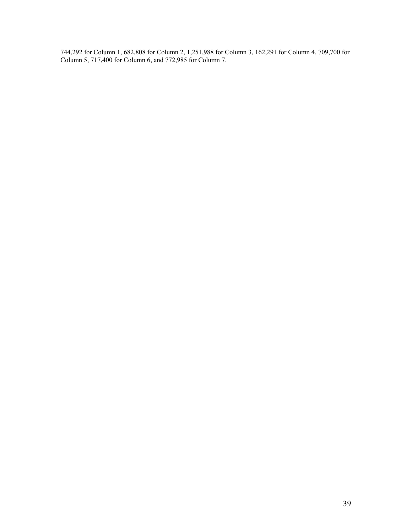744,292 for Column 1, 682,808 for Column 2, 1,251,988 for Column 3, 162,291 for Column 4, 709,700 for Column 5, 717,400 for Column 6, and 772,985 for Column 7.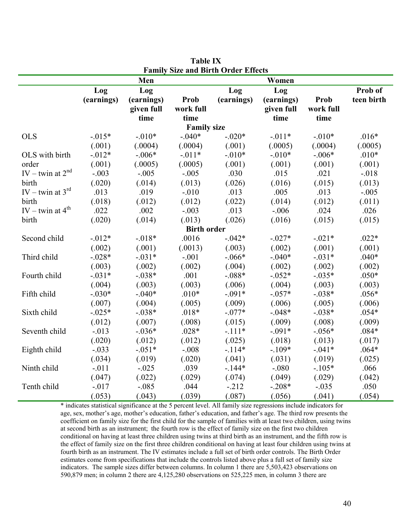| <b>Family Size and Birth Order Effects</b> |            |            |                    |            |            |           |            |  |  |  |
|--------------------------------------------|------------|------------|--------------------|------------|------------|-----------|------------|--|--|--|
| Men<br>Women                               |            |            |                    |            |            |           |            |  |  |  |
|                                            | Log        | Log        |                    | Log        | Log        |           | Prob of    |  |  |  |
|                                            | (earnings) | (earnings) | Prob               | (earnings) | (earnings) | Prob      | teen birth |  |  |  |
|                                            |            | given full | work full          |            | given full | work full |            |  |  |  |
|                                            |            | time       | time               |            | time       | time      |            |  |  |  |
|                                            |            |            | <b>Family size</b> |            |            |           |            |  |  |  |
| <b>OLS</b>                                 | $-0.015*$  | $-.010*$   | $-.040*$           | $-.020*$   | $-0.011*$  | $-.010*$  | $.016*$    |  |  |  |
|                                            | (.001)     | (.0004)    | (.0004)            | (.001)     | (.0005)    | (.0004)   | (.0005)    |  |  |  |
| OLS with birth                             | $-0.012*$  | $-.006*$   | $-.011*$           | $-.010*$   | $-.010*$   | $-.006*$  | $.010*$    |  |  |  |
| order                                      | (.001)     | (.0005)    | (.0005)            | (.001)     | (.001)     | (.001)    | (.001)     |  |  |  |
| IV – twin at $2^{nd}$                      | $-.003$    | $-.005$    | $-.005$            | .030       | .015       | .021      | $-.018$    |  |  |  |
| birth                                      | (.020)     | (.014)     | (.013)             | (.026)     | (.016)     | (.015)    | (.013)     |  |  |  |
| IV – twin at $3^{rd}$                      | .013       | .019       | $-.010$            | .013       | .005       | .013      | $-.005$    |  |  |  |
| birth                                      | (.018)     | (.012)     | (.012)             | (.022)     | (.014)     | (.012)    | (.011)     |  |  |  |
| IV – twin at $4^{\text{th}}$               | .022       | .002       | $-.003$            | .013       | $-.006$    | .024      | .026       |  |  |  |
| birth                                      | (.020)     | (.014)     | (.013)             | (.026)     | (.016)     | (.015)    | (.015)     |  |  |  |
|                                            |            |            | <b>Birth order</b> |            |            |           |            |  |  |  |
| Second child                               | $-0.012*$  | $-0.018*$  | .0016              | $-.042*$   | $-.027*$   | $-.021*$  | $.022*$    |  |  |  |
|                                            | (.002)     | (.001)     | (.0013)            | (.003)     | (.002)     | (.001)    | (.001)     |  |  |  |
| Third child                                | $-.028*$   | $-.031*$   | $-.001$            | $-.066*$   | $-.040*$   | $-.031*$  | $.040*$    |  |  |  |
|                                            | (.003)     | (.002)     | (.002)             | (.004)     | (.002)     | (.002)    | (.002)     |  |  |  |
| Fourth child                               | $-.031*$   | $-.038*$   | .001               | $-.088*$   | $-0.052*$  | $-.035*$  | $.050*$    |  |  |  |
|                                            | (.004)     | (.003)     | (.003)             | (.006)     | (.004)     | (.003)    | (.003)     |  |  |  |
| Fifth child                                | $-.030*$   | $-.040*$   | $.010*$            | $-.091*$   | $-.057*$   | $-.038*$  | $.056*$    |  |  |  |
|                                            | (.007)     | (.004)     | (.005)             | (.009)     | (.006)     | (.005)    | (.006)     |  |  |  |
| Sixth child                                | $-.025*$   | $-.038*$   | $.018*$            | $-.077*$   | $-.048*$   | $-.038*$  | $.054*$    |  |  |  |
|                                            | (.012)     | (.007)     | (.008)             | (.015)     | (.009)     | (.008)    | (.009)     |  |  |  |
| Seventh child                              | $-0.013$   | $-.036*$   | $.028*$            | $-.111*$   | $-.091*$   | $-.056*$  | $.084*$    |  |  |  |
|                                            | (.020)     | (.012)     | (.012)             | (.025)     | (.018)     | (.013)    | (.017)     |  |  |  |
| Eighth child                               | $-.033$    | $-.051*$   | $-.008$            | $-114*$    | $-.109*$   | $-.041*$  | $.064*$    |  |  |  |
|                                            | (.034)     | (.019)     | (.020)             | (.041)     | (.031)     | (.019)    | (.025)     |  |  |  |
| Ninth child                                | $-.011$    | $-.025$    | .039               | $-144*$    | $-.080$    | $-.105*$  | .066       |  |  |  |
|                                            | (.047)     | (.022)     | (.029)             | (.074)     | (.049)     | (.029)    | (.042)     |  |  |  |
| Tenth child                                | $-017$     | $-.085$    | .044               | $-212$     | $-.208*$   | $-.035$   | .050       |  |  |  |
|                                            | (.053)     | (.043)     | (.039)             | (.087)     | (.056)     | (.041)    | (.054)     |  |  |  |

**Table IX Family Size and Birth Order Effects** 

\* indicates statistical significance at the 5 percent level. All family size regressions include indicators for age, sex, mother's age, mother's education, father's education, and father's age. The third row presents the coefficient on family size for the first child for the sample of families with at least two children, using twins at second birth as an instrument; the fourth row is the effect of family size on the first two children conditional on having at least three children using twins at third birth as an instrument, and the fifth row is the effect of family size on the first three children conditional on having at least four children using twins at fourth birth as an instrument. The IV estimates include a full set of birth order controls. The Birth Order estimates come from specifications that include the controls listed above plus a full set of family size indicators. The sample sizes differ between columns. In column 1 there are 5,503,423 observations on 590,879 men; in column 2 there are 4,125,280 observations on 525,225 men, in column 3 there are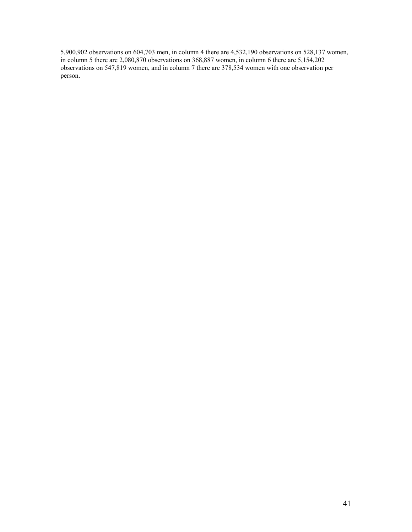5,900,902 observations on 604,703 men, in column 4 there are 4,532,190 observations on 528,137 women, in column 5 there are 2,080,870 observations on 368,887 women, in column 6 there are 5,154,202 observations on 547,819 women, and in column 7 there are 378,534 women with one observation per person.